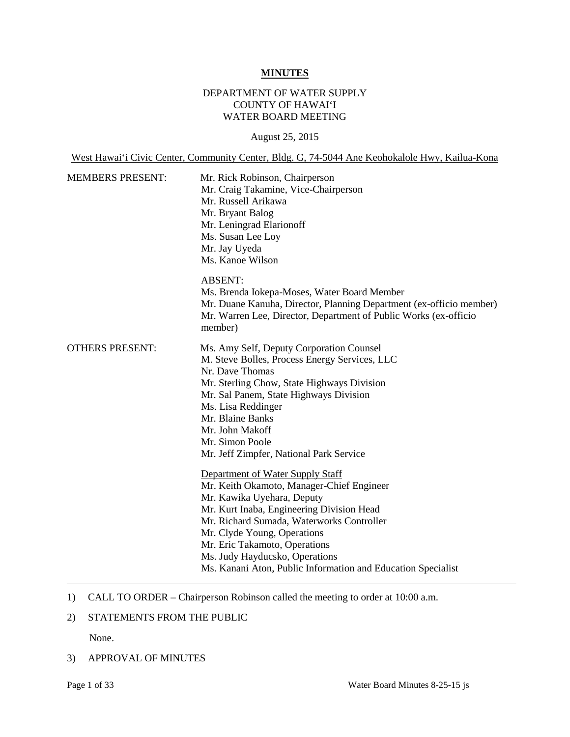#### **MINUTES**

# DEPARTMENT OF WATER SUPPLY COUNTY OF HAWAI'I WATER BOARD MEETING

### August 25, 2015

West Hawai'i Civic Center, Community Center, Bldg. G, 74-5044 Ane Keohokalole Hwy, Kailua-Kona

| <b>MEMBERS PRESENT:</b> | Mr. Rick Robinson, Chairperson<br>Mr. Craig Takamine, Vice-Chairperson<br>Mr. Russell Arikawa<br>Mr. Bryant Balog<br>Mr. Leningrad Elarionoff<br>Ms. Susan Lee Loy<br>Mr. Jay Uyeda<br>Ms. Kanoe Wilson                                                                                                                                                                 |  |  |
|-------------------------|-------------------------------------------------------------------------------------------------------------------------------------------------------------------------------------------------------------------------------------------------------------------------------------------------------------------------------------------------------------------------|--|--|
|                         | <b>ABSENT:</b><br>Ms. Brenda Jokepa-Moses, Water Board Member<br>Mr. Duane Kanuha, Director, Planning Department (ex-officio member)<br>Mr. Warren Lee, Director, Department of Public Works (ex-officio<br>member)                                                                                                                                                     |  |  |
| <b>OTHERS PRESENT:</b>  | Ms. Amy Self, Deputy Corporation Counsel<br>M. Steve Bolles, Process Energy Services, LLC<br>Nr. Dave Thomas<br>Mr. Sterling Chow, State Highways Division<br>Mr. Sal Panem, State Highways Division<br>Ms. Lisa Reddinger<br>Mr. Blaine Banks<br>Mr. John Makoff<br>Mr. Simon Poole<br>Mr. Jeff Zimpfer, National Park Service                                         |  |  |
|                         | Department of Water Supply Staff<br>Mr. Keith Okamoto, Manager-Chief Engineer<br>Mr. Kawika Uyehara, Deputy<br>Mr. Kurt Inaba, Engineering Division Head<br>Mr. Richard Sumada, Waterworks Controller<br>Mr. Clyde Young, Operations<br>Mr. Eric Takamoto, Operations<br>Ms. Judy Hayducsko, Operations<br>Ms. Kanani Aton, Public Information and Education Specialist |  |  |

# 1) CALL TO ORDER – Chairperson Robinson called the meeting to order at 10:00 a.m.

## 2) STATEMENTS FROM THE PUBLIC

None.

## 3) APPROVAL OF MINUTES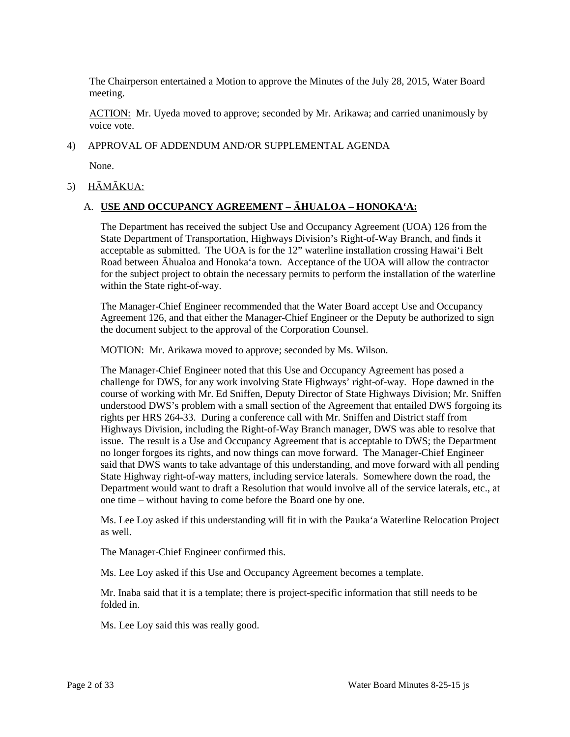The Chairperson entertained a Motion to approve the Minutes of the July 28, 2015, Water Board meeting.

ACTION: Mr. Uyeda moved to approve; seconded by Mr. Arikawa; and carried unanimously by voice vote.

#### 4) APPROVAL OF ADDENDUM AND/OR SUPPLEMENTAL AGENDA

None.

## 5) HĀMĀKUA:

## A. **USE AND OCCUPANCY AGREEMENT – ĀHUALOA – HONOKA'A:**

 acceptable as submitted. The UOA is for the 12" waterline installation crossing Hawai'i Belt for the subject project to obtain the necessary permits to perform the installation of the waterline The Department has received the subject Use and Occupancy Agreement (UOA) 126 from the State Department of Transportation, Highways Division's Right-of-Way Branch, and finds it Road between Āhualoa and Honoka'a town. Acceptance of the UOA will allow the contractor within the State right-of-way.

 Agreement 126, and that either the Manager-Chief Engineer or the Deputy be authorized to sign the document subject to the approval of the Corporation Counsel. The Manager-Chief Engineer recommended that the Water Board accept Use and Occupancy

MOTION: Mr. Arikawa moved to approve; seconded by Ms. Wilson.

 issue. The result is a Use and Occupancy Agreement that is acceptable to DWS; the Department no longer forgoes its rights, and now things can move forward. The Manager-Chief Engineer State Highway right-of-way matters, including service laterals. Somewhere down the road, the The Manager-Chief Engineer noted that this Use and Occupancy Agreement has posed a challenge for DWS, for any work involving State Highways' right-of-way. Hope dawned in the course of working with Mr. Ed Sniffen, Deputy Director of State Highways Division; Mr. Sniffen understood DWS's problem with a small section of the Agreement that entailed DWS forgoing its rights per HRS 264-33. During a conference call with Mr. Sniffen and District staff from Highways Division, including the Right-of-Way Branch manager, DWS was able to resolve that said that DWS wants to take advantage of this understanding, and move forward with all pending Department would want to draft a Resolution that would involve all of the service laterals, etc., at one time – without having to come before the Board one by one.

Ms. Lee Loy asked if this understanding will fit in with the Pauka'a Waterline Relocation Project as well.

The Manager-Chief Engineer confirmed this.

Ms. Lee Loy asked if this Use and Occupancy Agreement becomes a template.

 Mr. Inaba said that it is a template; there is project-specific information that still needs to be folded in.

Ms. Lee Loy said this was really good.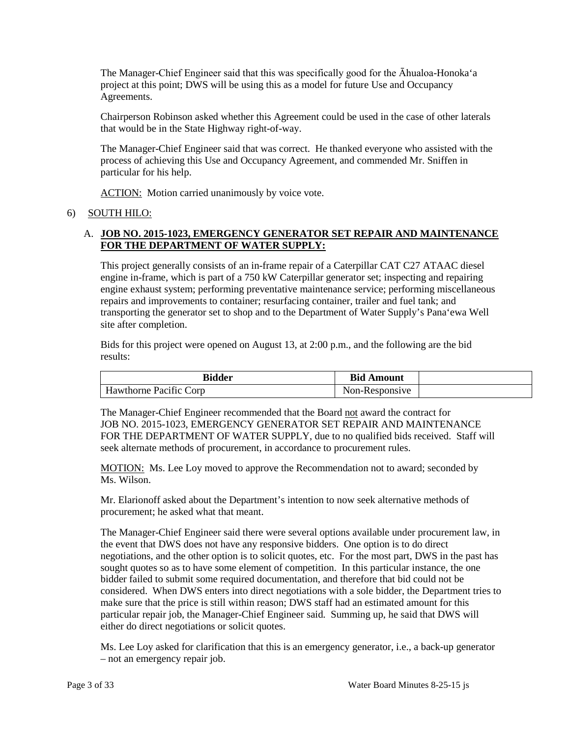The Manager-Chief Engineer said that this was specifically good for the Āhualoa-Honoka'a project at this point; DWS will be using this as a model for future Use and Occupancy Agreements.

Chairperson Robinson asked whether this Agreement could be used in the case of other laterals that would be in the State Highway right-of-way.

The Manager-Chief Engineer said that was correct. He thanked everyone who assisted with the process of achieving this Use and Occupancy Agreement, and commended Mr. Sniffen in particular for his help.

ACTION: Motion carried unanimously by voice vote.

## 6) SOUTH HILO:

## A. **JOB NO. 2015-1023, EMERGENCY GENERATOR SET REPAIR AND MAINTENANCE FOR THE DEPARTMENT OF WATER SUPPLY:**

 This project generally consists of an in-frame repair of a Caterpillar CAT C27 ATAAC diesel engine in-frame, which is part of a 750 kW Caterpillar generator set; inspecting and repairing repairs and improvements to container; resurfacing container, trailer and fuel tank; and transporting the generator set to shop and to the Department of Water Supply's Pana'ewa Well engine exhaust system; performing preventative maintenance service; performing miscellaneous site after completion.

Bids for this project were opened on August 13, at 2:00 p.m., and the following are the bid results:

| <b>Bidder</b>          | <b>Bid Amount</b> |  |
|------------------------|-------------------|--|
| Hawthorne Pacific Corp | Non-Responsive    |  |

The Manager-Chief Engineer recommended that the Board not award the contract for JOB NO. 2015-1023, EMERGENCY GENERATOR SET REPAIR AND MAINTENANCE FOR THE DEPARTMENT OF WATER SUPPLY, due to no qualified bids received. Staff will seek alternate methods of procurement, in accordance to procurement rules.

MOTION: Ms. Lee Loy moved to approve the Recommendation not to award; seconded by Ms. Wilson.

Mr. Elarionoff asked about the Department's intention to now seek alternative methods of procurement; he asked what that meant.

 the event that DWS does not have any responsive bidders. One option is to do direct negotiations, and the other option is to solicit quotes, etc. For the most part, DWS in the past has considered. When DWS enters into direct negotiations with a sole bidder, the Department tries to make sure that the price is still within reason; DWS staff had an estimated amount for this The Manager-Chief Engineer said there were several options available under procurement law, in sought quotes so as to have some element of competition. In this particular instance, the one bidder failed to submit some required documentation, and therefore that bid could not be particular repair job, the Manager-Chief Engineer said. Summing up, he said that DWS will either do direct negotiations or solicit quotes.

 Ms. Lee Loy asked for clarification that this is an emergency generator, i.e., a back-up generator – not an emergency repair job.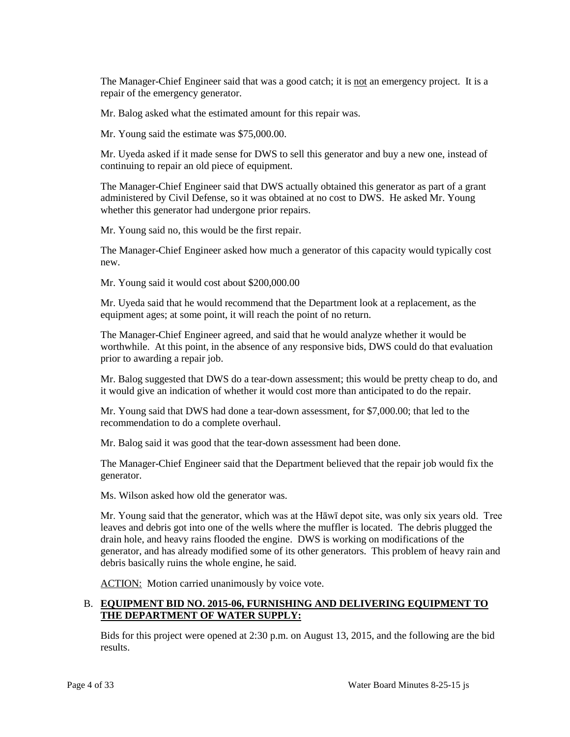The Manager-Chief Engineer said that was a good catch; it is not an emergency project. It is a repair of the emergency generator.

Mr. Balog asked what the estimated amount for this repair was.

Mr. Young said the estimate was \$75,000.00.

Mr. Uyeda asked if it made sense for DWS to sell this generator and buy a new one, instead of continuing to repair an old piece of equipment.

 The Manager-Chief Engineer said that DWS actually obtained this generator as part of a grant administered by Civil Defense, so it was obtained at no cost to DWS. He asked Mr. Young whether this generator had undergone prior repairs.

Mr. Young said no, this would be the first repair.

The Manager-Chief Engineer asked how much a generator of this capacity would typically cost new.

Mr. Young said it would cost about \$200,000.00

 equipment ages; at some point, it will reach the point of no return. Mr. Uyeda said that he would recommend that the Department look at a replacement, as the

 prior to awarding a repair job. The Manager-Chief Engineer agreed, and said that he would analyze whether it would be worthwhile. At this point, in the absence of any responsive bids, DWS could do that evaluation

 Mr. Balog suggested that DWS do a tear-down assessment; this would be pretty cheap to do, and it would give an indication of whether it would cost more than anticipated to do the repair.

 Mr. Young said that DWS had done a tear-down assessment, for \$7,000.00; that led to the recommendation to do a complete overhaul.

Mr. Balog said it was good that the tear-down assessment had been done.

 The Manager-Chief Engineer said that the Department believed that the repair job would fix the generator.

Ms. Wilson asked how old the generator was.

 debris basically ruins the whole engine, he said. Mr. Young said that the generator, which was at the Hāwī depot site, was only six years old. Tree leaves and debris got into one of the wells where the muffler is located. The debris plugged the drain hole, and heavy rains flooded the engine. DWS is working on modifications of the generator, and has already modified some of its other generators. This problem of heavy rain and

ACTION: Motion carried unanimously by voice vote.

# B. **EQUIPMENT BID NO. 2015-06, FURNISHING AND DELIVERING EQUIPMENT TO THE DEPARTMENT OF WATER SUPPLY:**

Bids for this project were opened at 2:30 p.m. on August 13, 2015, and the following are the bid results.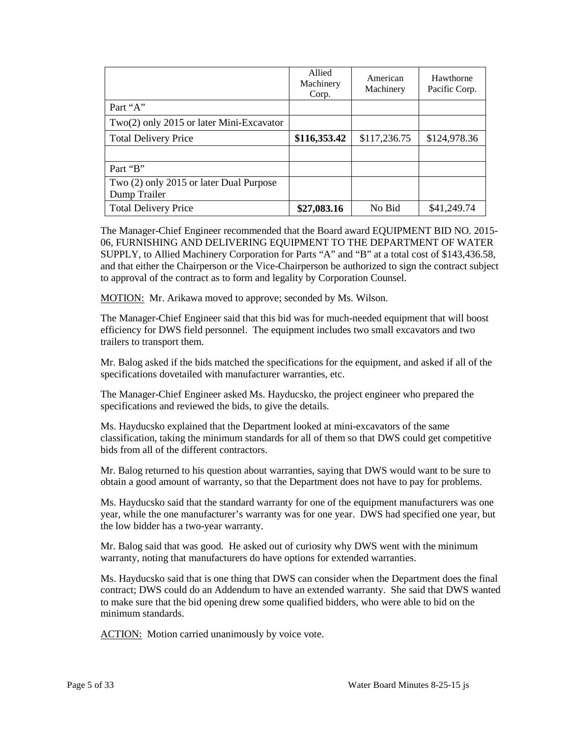|                                            | Allied<br>Machinery<br>Corp. | American<br>Machinery | Hawthorne<br>Pacific Corp. |
|--------------------------------------------|------------------------------|-----------------------|----------------------------|
| Part "A"                                   |                              |                       |                            |
| $Two(2)$ only 2015 or later Mini-Excavator |                              |                       |                            |
| <b>Total Delivery Price</b>                | \$116,353.42                 | \$117,236.75          | \$124,978.36               |
|                                            |                              |                       |                            |
| Part "B"                                   |                              |                       |                            |
| Two (2) only 2015 or later Dual Purpose    |                              |                       |                            |
| Dump Trailer                               |                              |                       |                            |
| <b>Total Delivery Price</b>                | \$27,083.16                  | No Bid                | \$41,249.74                |

 06, FURNISHING AND DELIVERING EQUIPMENT TO THE DEPARTMENT OF WATER SUPPLY, to Allied Machinery Corporation for Parts "A" and "B" at a total cost of \$143,436.58, The Manager-Chief Engineer recommended that the Board award EQUIPMENT BID NO. 2015 and that either the Chairperson or the Vice-Chairperson be authorized to sign the contract subject to approval of the contract as to form and legality by Corporation Counsel.

MOTION: Mr. Arikawa moved to approve; seconded by Ms. Wilson.

 The Manager-Chief Engineer said that this bid was for much-needed equipment that will boost efficiency for DWS field personnel. The equipment includes two small excavators and two trailers to transport them.

 Mr. Balog asked if the bids matched the specifications for the equipment, and asked if all of the specifications dovetailed with manufacturer warranties, etc.

The Manager-Chief Engineer asked Ms. Hayducsko, the project engineer who prepared the specifications and reviewed the bids, to give the details.

 classification, taking the minimum standards for all of them so that DWS could get competitive bids from all of the different contractors. Ms. Hayducsko explained that the Department looked at mini-excavators of the same

 Mr. Balog returned to his question about warranties, saying that DWS would want to be sure to obtain a good amount of warranty, so that the Department does not have to pay for problems.

Ms. Hayducsko said that the standard warranty for one of the equipment manufacturers was one year, while the one manufacturer's warranty was for one year. DWS had specified one year, but the low bidder has a two-year warranty.

Mr. Balog said that was good. He asked out of curiosity why DWS went with the minimum warranty, noting that manufacturers do have options for extended warranties.

 to make sure that the bid opening drew some qualified bidders, who were able to bid on the Ms. Hayducsko said that is one thing that DWS can consider when the Department does the final contract; DWS could do an Addendum to have an extended warranty. She said that DWS wanted minimum standards.

ACTION: Motion carried unanimously by voice vote.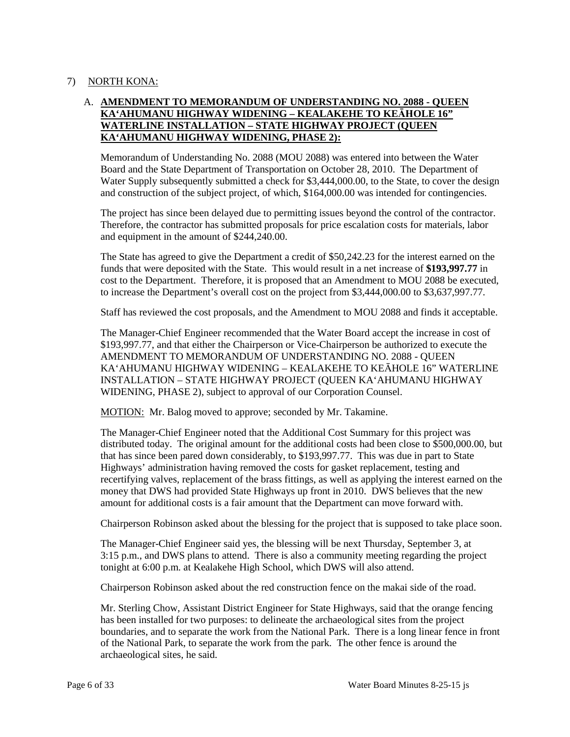# 7) NORTH KONA:

# A. **AMENDMENT TO MEMORANDUM OF UNDERSTANDING NO. 2088 - QUEEN KA'AHUMANU HIGHWAY WIDENING – KEALAKEHE TO KEĀHOLE 16" WATERLINE INSTALLATION – STATE HIGHWAY PROJECT (QUEEN KA'AHUMANU HIGHWAY WIDENING, PHASE 2):**

 Memorandum of Understanding No. 2088 (MOU 2088) was entered into between the Water and construction of the subject project, of which, \$164,000.00 was intended for contingencies. Board and the State Department of Transportation on October 28, 2010. The Department of Water Supply subsequently submitted a check for \$3,444,000.00, to the State, to cover the design

The project has since been delayed due to permitting issues beyond the control of the contractor. Therefore, the contractor has submitted proposals for price escalation costs for materials, labor and equipment in the amount of \$244,240.00.

 The State has agreed to give the Department a credit of \$50,242.23 for the interest earned on the funds that were deposited with the State. This would result in a net increase of **\$193,997.77** in cost to the Department. Therefore, it is proposed that an Amendment to MOU 2088 be executed, to increase the Department's overall cost on the project from \$3,444,000.00 to \$3,637,997.77.

Staff has reviewed the cost proposals, and the Amendment to MOU 2088 and finds it acceptable.

 The Manager-Chief Engineer recommended that the Water Board accept the increase in cost of \$193,997.77, and that either the Chairperson or Vice-Chairperson be authorized to execute the AMENDMENT TO MEMORANDUM OF UNDERSTANDING NO. 2088 - QUEEN KA'AHUMANU HIGHWAY WIDENING – KEALAKEHE TO KEĀHOLE 16" WATERLINE INSTALLATION – STATE HIGHWAY PROJECT (QUEEN KA'AHUMANU HIGHWAY WIDENING, PHASE 2), subject to approval of our Corporation Counsel.

MOTION: Mr. Balog moved to approve; seconded by Mr. Takamine.

 The Manager-Chief Engineer noted that the Additional Cost Summary for this project was that has since been pared down considerably, to \$193,997.77. This was due in part to State money that DWS had provided State Highways up front in 2010. DWS believes that the new amount for additional costs is a fair amount that the Department can move forward with. distributed today. The original amount for the additional costs had been close to \$500,000.00, but Highways' administration having removed the costs for gasket replacement, testing and recertifying valves, replacement of the brass fittings, as well as applying the interest earned on the

Chairperson Robinson asked about the blessing for the project that is supposed to take place soon.

The Manager-Chief Engineer said yes, the blessing will be next Thursday, September 3, at 3:15 p.m., and DWS plans to attend. There is also a community meeting regarding the project tonight at 6:00 p.m. at Kealakehe High School, which DWS will also attend.

Chairperson Robinson asked about the red construction fence on the makai side of the road.

 of the National Park, to separate the work from the park. The other fence is around the Mr. Sterling Chow, Assistant District Engineer for State Highways, said that the orange fencing has been installed for two purposes: to delineate the archaeological sites from the project boundaries, and to separate the work from the National Park. There is a long linear fence in front archaeological sites, he said.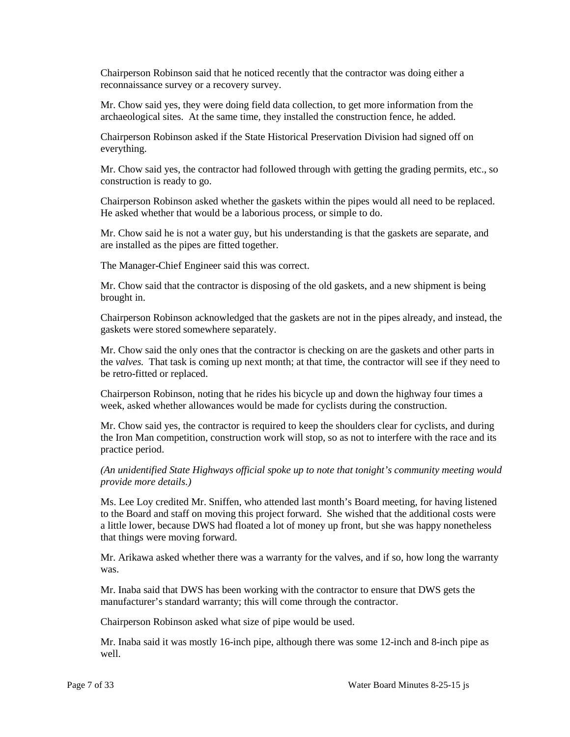Chairperson Robinson said that he noticed recently that the contractor was doing either a reconnaissance survey or a recovery survey.

Mr. Chow said yes, they were doing field data collection, to get more information from the archaeological sites. At the same time, they installed the construction fence, he added.

Chairperson Robinson asked if the State Historical Preservation Division had signed off on everything.

Mr. Chow said yes, the contractor had followed through with getting the grading permits, etc., so construction is ready to go.

Chairperson Robinson asked whether the gaskets within the pipes would all need to be replaced. He asked whether that would be a laborious process, or simple to do.

 Mr. Chow said he is not a water guy, but his understanding is that the gaskets are separate, and are installed as the pipes are fitted together.

The Manager-Chief Engineer said this was correct.

 Mr. Chow said that the contractor is disposing of the old gaskets, and a new shipment is being brought in.

 Chairperson Robinson acknowledged that the gaskets are not in the pipes already, and instead, the gaskets were stored somewhere separately.

 the *valves.* That task is coming up next month; at that time, the contractor will see if they need to Mr. Chow said the only ones that the contractor is checking on are the gaskets and other parts in be retro-fitted or replaced.

 Chairperson Robinson, noting that he rides his bicycle up and down the highway four times a week, asked whether allowances would be made for cyclists during the construction.

 Mr. Chow said yes, the contractor is required to keep the shoulders clear for cyclists, and during the Iron Man competition, construction work will stop, so as not to interfere with the race and its practice period.

*(An unidentified State Highways official spoke up to note that tonight's community meeting would provide more details.)* 

 to the Board and staff on moving this project forward. She wished that the additional costs were Ms. Lee Loy credited Mr. Sniffen, who attended last month's Board meeting, for having listened a little lower, because DWS had floated a lot of money up front, but she was happy nonetheless that things were moving forward.

Mr. Arikawa asked whether there was a warranty for the valves, and if so, how long the warranty was.

Mr. Inaba said that DWS has been working with the contractor to ensure that DWS gets the manufacturer's standard warranty; this will come through the contractor.

Chairperson Robinson asked what size of pipe would be used.

Mr. Inaba said it was mostly 16-inch pipe, although there was some 12-inch and 8-inch pipe as well.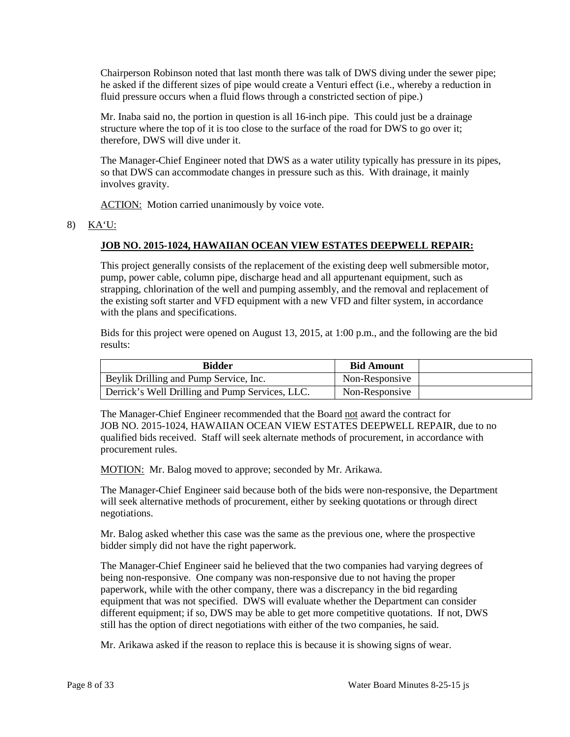he asked if the different sizes of pipe would create a Venturi effect (i.e., whereby a reduction in fluid pressure occurs when a fluid flows through a constricted section of pipe.) Chairperson Robinson noted that last month there was talk of DWS diving under the sewer pipe;

 Mr. Inaba said no, the portion in question is all 16-inch pipe. This could just be a drainage structure where the top of it is too close to the surface of the road for DWS to go over it; therefore, DWS will dive under it.

 The Manager-Chief Engineer noted that DWS as a water utility typically has pressure in its pipes, so that DWS can accommodate changes in pressure such as this. With drainage, it mainly involves gravity.

ACTION: Motion carried unanimously by voice vote.

## 8) KA'U:

## **JOB NO. 2015-1024, HAWAIIAN OCEAN VIEW ESTATES DEEPWELL REPAIR:**

 the existing soft starter and VFD equipment with a new VFD and filter system, in accordance This project generally consists of the replacement of the existing deep well submersible motor, pump, power cable, column pipe, discharge head and all appurtenant equipment, such as strapping, chlorination of the well and pumping assembly, and the removal and replacement of with the plans and specifications.

Bids for this project were opened on August 13, 2015, at 1:00 p.m., and the following are the bid results:

| <b>Bidder</b>                                   | <b>Bid Amount</b> |  |
|-------------------------------------------------|-------------------|--|
| Beylik Drilling and Pump Service, Inc.          | Non-Responsive    |  |
| Derrick's Well Drilling and Pump Services, LLC. | Non-Responsive    |  |

The Manager-Chief Engineer recommended that the Board not award the contract for JOB NO. 2015-1024, HAWAIIAN OCEAN VIEW ESTATES DEEPWELL REPAIR, due to no qualified bids received. Staff will seek alternate methods of procurement, in accordance with procurement rules.

MOTION: Mr. Balog moved to approve; seconded by Mr. Arikawa.

 The Manager-Chief Engineer said because both of the bids were non-responsive, the Department will seek alternative methods of procurement, either by seeking quotations or through direct negotiations.

Mr. Balog asked whether this case was the same as the previous one, where the prospective bidder simply did not have the right paperwork.

 The Manager-Chief Engineer said he believed that the two companies had varying degrees of equipment that was not specified. DWS will evaluate whether the Department can consider different equipment; if so, DWS may be able to get more competitive quotations. If not, DWS still has the option of direct negotiations with either of the two companies, he said. being non-responsive. One company was non-responsive due to not having the proper paperwork, while with the other company, there was a discrepancy in the bid regarding

Mr. Arikawa asked if the reason to replace this is because it is showing signs of wear.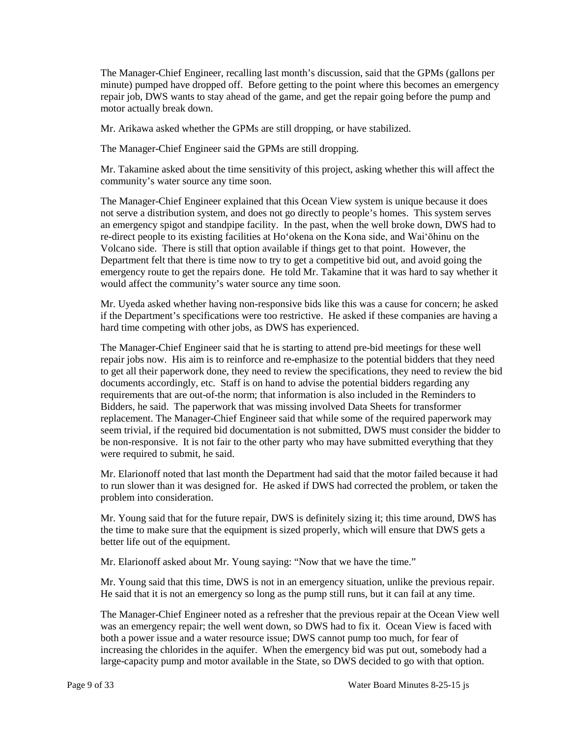The Manager-Chief Engineer, recalling last month's discussion, said that the GPMs (gallons per minute) pumped have dropped off. Before getting to the point where this becomes an emergency repair job, DWS wants to stay ahead of the game, and get the repair going before the pump and motor actually break down.

Mr. Arikawa asked whether the GPMs are still dropping, or have stabilized.

The Manager-Chief Engineer said the GPMs are still dropping.

Mr. Takamine asked about the time sensitivity of this project, asking whether this will affect the community's water source any time soon.

 re-direct people to its existing facilities at Ho'okena on the Kona side, and Wai'ōhinu on the Volcano side. There is still that option available if things get to that point. However, the would affect the community's water source any time soon. The Manager-Chief Engineer explained that this Ocean View system is unique because it does not serve a distribution system, and does not go directly to people's homes. This system serves an emergency spigot and standpipe facility. In the past, when the well broke down, DWS had to Department felt that there is time now to try to get a competitive bid out, and avoid going the emergency route to get the repairs done. He told Mr. Takamine that it was hard to say whether it

 Mr. Uyeda asked whether having non-responsive bids like this was a cause for concern; he asked if the Department's specifications were too restrictive. He asked if these companies are having a hard time competing with other jobs, as DWS has experienced.

 The Manager-Chief Engineer said that he is starting to attend pre-bid meetings for these well repair jobs now. His aim is to reinforce and re-emphasize to the potential bidders that they need to get all their paperwork done, they need to review the specifications, they need to review the bid documents accordingly, etc. Staff is on hand to advise the potential bidders regarding any requirements that are out-of-the norm; that information is also included in the Reminders to Bidders, he said. The paperwork that was missing involved Data Sheets for transformer replacement. The Manager-Chief Engineer said that while some of the required paperwork may seem trivial, if the required bid documentation is not submitted, DWS must consider the bidder to be non-responsive. It is not fair to the other party who may have submitted everything that they were required to submit, he said.

 Mr. Elarionoff noted that last month the Department had said that the motor failed because it had to run slower than it was designed for. He asked if DWS had corrected the problem, or taken the problem into consideration.

 better life out of the equipment. Mr. Young said that for the future repair, DWS is definitely sizing it; this time around, DWS has the time to make sure that the equipment is sized properly, which will ensure that DWS gets a

Mr. Elarionoff asked about Mr. Young saying: "Now that we have the time."

 Mr. Young said that this time, DWS is not in an emergency situation, unlike the previous repair. He said that it is not an emergency so long as the pump still runs, but it can fail at any time.

 The Manager-Chief Engineer noted as a refresher that the previous repair at the Ocean View well both a power issue and a water resource issue; DWS cannot pump too much, for fear of increasing the chlorides in the aquifer. When the emergency bid was put out, somebody had a was an emergency repair; the well went down, so DWS had to fix it. Ocean View is faced with large-capacity pump and motor available in the State, so DWS decided to go with that option.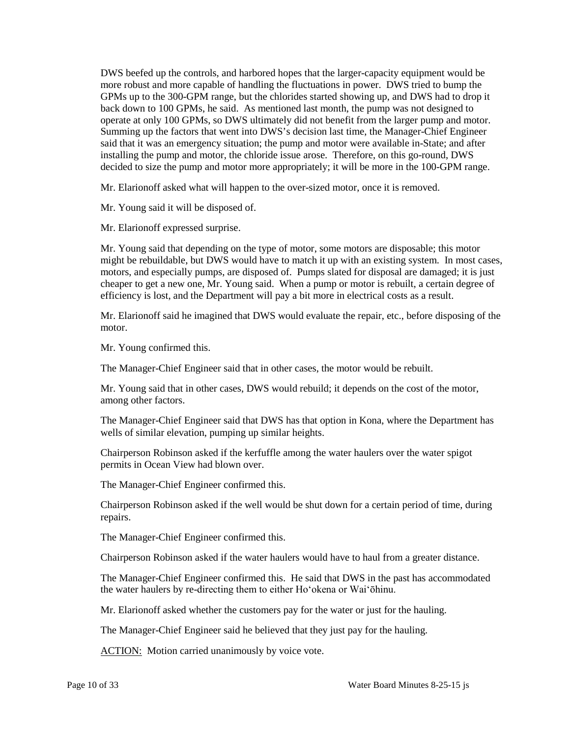more robust and more capable of handling the fluctuations in power. DWS tried to bump the said that it was an emergency situation; the pump and motor were available in-State; and after installing the pump and motor, the chloride issue arose. Therefore, on this go-round, DWS DWS beefed up the controls, and harbored hopes that the larger-capacity equipment would be GPMs up to the 300-GPM range, but the chlorides started showing up, and DWS had to drop it back down to 100 GPMs, he said. As mentioned last month, the pump was not designed to operate at only 100 GPMs, so DWS ultimately did not benefit from the larger pump and motor. Summing up the factors that went into DWS's decision last time, the Manager-Chief Engineer decided to size the pump and motor more appropriately; it will be more in the 100-GPM range.

Mr. Elarionoff asked what will happen to the over-sized motor, once it is removed.

Mr. Young said it will be disposed of.

Mr. Elarionoff expressed surprise.

 might be rebuildable, but DWS would have to match it up with an existing system. In most cases, cheaper to get a new one, Mr. Young said. When a pump or motor is rebuilt, a certain degree of efficiency is lost, and the Department will pay a bit more in electrical costs as a result. Mr. Young said that depending on the type of motor, some motors are disposable; this motor motors, and especially pumps, are disposed of. Pumps slated for disposal are damaged; it is just

Mr. Elarionoff said he imagined that DWS would evaluate the repair, etc., before disposing of the motor.

Mr. Young confirmed this.

The Manager-Chief Engineer said that in other cases, the motor would be rebuilt.

 Mr. Young said that in other cases, DWS would rebuild; it depends on the cost of the motor, among other factors.

The Manager-Chief Engineer said that DWS has that option in Kona, where the Department has wells of similar elevation, pumping up similar heights.

Chairperson Robinson asked if the kerfuffle among the water haulers over the water spigot permits in Ocean View had blown over.

The Manager-Chief Engineer confirmed this.

Chairperson Robinson asked if the well would be shut down for a certain period of time, during repairs.

The Manager-Chief Engineer confirmed this.

Chairperson Robinson asked if the water haulers would have to haul from a greater distance.

 The Manager-Chief Engineer confirmed this. He said that DWS in the past has accommodated the water haulers by re-directing them to either Ho'okena or Wai'ōhinu.

Mr. Elarionoff asked whether the customers pay for the water or just for the hauling.

The Manager-Chief Engineer said he believed that they just pay for the hauling.

ACTION: Motion carried unanimously by voice vote.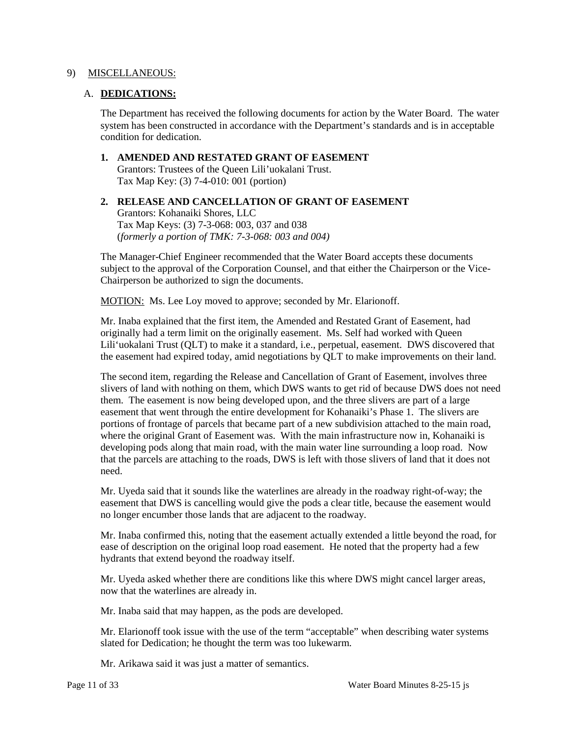#### 9) MISCELLANEOUS:

#### A. **DEDICATIONS:**

The Department has received the following documents for action by the Water Board. The water system has been constructed in accordance with the Department's standards and is in acceptable condition for dedication.

- **1. AMENDED AND RESTATED GRANT OF EASEMENT**  Grantors: Trustees of the Queen Lili'uokalani Trust. Tax Map Key: (3) 7-4-010: 001 (portion)
- **2. RELEASE AND CANCELLATION OF GRANT OF EASEMENT**  Grantors: Kohanaiki Shores, LLC Tax Map Keys: (3) 7-3-068: 003, 037 and 038 (*formerly a portion of TMK: 7-3-068: 003 and 004)*

 subject to the approval of the Corporation Counsel, and that either the Chairperson or the Vice-The Manager-Chief Engineer recommended that the Water Board accepts these documents Chairperson be authorized to sign the documents.

MOTION: Ms. Lee Loy moved to approve; seconded by Mr. Elarionoff.

 originally had a term limit on the originally easement. Ms. Self had worked with Queen Lili'uokalani Trust (QLT) to make it a standard, i.e., perpetual, easement. DWS discovered that Mr. Inaba explained that the first item, the Amended and Restated Grant of Easement, had the easement had expired today, amid negotiations by QLT to make improvements on their land.

 easement that went through the entire development for Kohanaiki's Phase 1. The slivers are that the parcels are attaching to the roads, DWS is left with those slivers of land that it does not The second item, regarding the Release and Cancellation of Grant of Easement, involves three slivers of land with nothing on them, which DWS wants to get rid of because DWS does not need them. The easement is now being developed upon, and the three slivers are part of a large portions of frontage of parcels that became part of a new subdivision attached to the main road, where the original Grant of Easement was. With the main infrastructure now in, Kohanaiki is developing pods along that main road, with the main water line surrounding a loop road. Now need.

 easement that DWS is cancelling would give the pods a clear title, because the easement would Mr. Uyeda said that it sounds like the waterlines are already in the roadway right-of-way; the no longer encumber those lands that are adjacent to the roadway.

 ease of description on the original loop road easement. He noted that the property had a few Mr. Inaba confirmed this, noting that the easement actually extended a little beyond the road, for hydrants that extend beyond the roadway itself.

Mr. Uyeda asked whether there are conditions like this where DWS might cancel larger areas, now that the waterlines are already in.

Mr. Inaba said that may happen, as the pods are developed.

 Mr. Elarionoff took issue with the use of the term "acceptable" when describing water systems slated for Dedication; he thought the term was too lukewarm.

Mr. Arikawa said it was just a matter of semantics.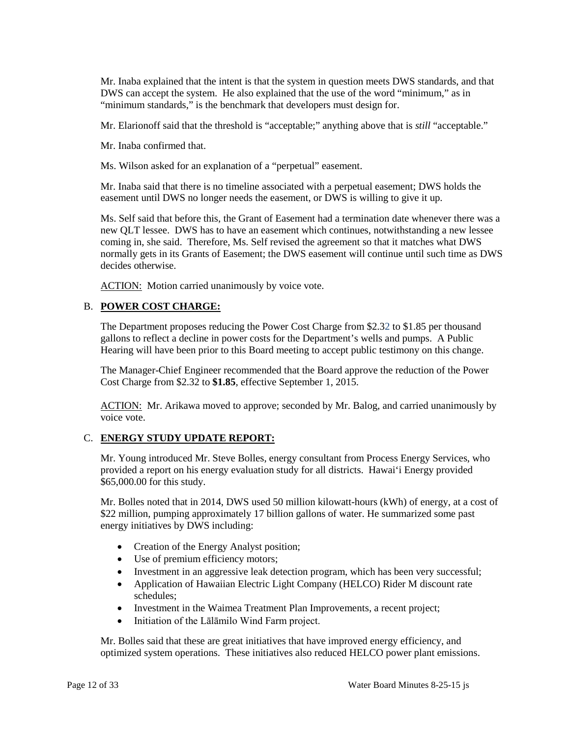Mr. Inaba explained that the intent is that the system in question meets DWS standards, and that DWS can accept the system. He also explained that the use of the word "minimum," as in "minimum standards," is the benchmark that developers must design for.

Mr. Elarionoff said that the threshold is "acceptable;" anything above that is *still* "acceptable."

Mr. Inaba confirmed that.

Ms. Wilson asked for an explanation of a "perpetual" easement.

 Mr. Inaba said that there is no timeline associated with a perpetual easement; DWS holds the easement until DWS no longer needs the easement, or DWS is willing to give it up.

 Ms. Self said that before this, the Grant of Easement had a termination date whenever there was a coming in, she said. Therefore, Ms. Self revised the agreement so that it matches what DWS normally gets in its Grants of Easement; the DWS easement will continue until such time as DWS new QLT lessee. DWS has to have an easement which continues, notwithstanding a new lessee decides otherwise.

ACTION: Motion carried unanimously by voice vote.

## B. **POWER COST CHARGE:**

 gallons to reflect a decline in power costs for the Department's wells and pumps. A Public The Department proposes reducing the Power Cost Charge from \$2.32 to \$1.85 per thousand Hearing will have been prior to this Board meeting to accept public testimony on this change.

 The Manager-Chief Engineer recommended that the Board approve the reduction of the Power Cost Charge from \$2.32 to **\$1.85**, effective September 1, 2015.

ACTION: Mr. Arikawa moved to approve; seconded by Mr. Balog, and carried unanimously by voice vote.

# C. **ENERGY STUDY UPDATE REPORT:**

Mr. Young introduced Mr. Steve Bolles, energy consultant from Process Energy Services, who provided a report on his energy evaluation study for all districts. Hawai'i Energy provided \$65,000.00 for this study.

Mr. Bolles noted that in 2014, DWS used 50 million kilowatt-hours (kWh) of energy, at a cost of \$22 million, pumping approximately 17 billion gallons of water. He summarized some past energy initiatives by DWS including:

- Creation of the Energy Analyst position;
- Use of premium efficiency motors;
- Investment in an aggressive leak detection program, which has been very successful;
- Application of Hawaiian Electric Light Company (HELCO) Rider M discount rate schedules;
- Investment in the Waimea Treatment Plan Improvements, a recent project;
- Initiation of the Lalamilo Wind Farm project.

 optimized system operations. These initiatives also reduced HELCO power plant emissions. Mr. Bolles said that these are great initiatives that have improved energy efficiency, and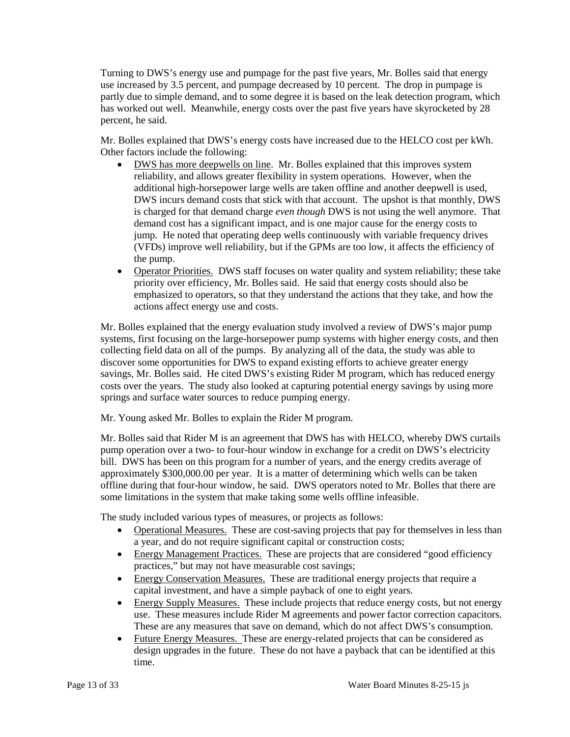partly due to simple demand, and to some degree it is based on the leak detection program, which has worked out well. Meanwhile, energy costs over the past five years have skyrocketed by 28 Turning to DWS's energy use and pumpage for the past five years, Mr. Bolles said that energy use increased by 3.5 percent, and pumpage decreased by 10 percent. The drop in pumpage is percent, he said.

Mr. Bolles explained that DWS's energy costs have increased due to the HELCO cost per kWh. Other factors include the following:

- DWS incurs demand costs that stick with that account. The upshot is that monthly, DWS is charged for that demand charge *even though* DWS is not using the well anymore. That demand cost has a significant impact, and is one major cause for the energy costs to (VFDs) improve well reliability, but if the GPMs are too low, it affects the efficiency of DWS has more deepwells on line. Mr. Bolles explained that this improves system reliability, and allows greater flexibility in system operations. However, when the additional high-horsepower large wells are taken offline and another deepwell is used, jump. He noted that operating deep wells continuously with variable frequency drives the pump.
- Operator Priorities. DWS staff focuses on water quality and system reliability; these take priority over efficiency, Mr. Bolles said. He said that energy costs should also be emphasized to operators, so that they understand the actions that they take, and how the actions affect energy use and costs.

 systems, first focusing on the large-horsepower pump systems with higher energy costs, and then collecting field data on all of the pumps. By analyzing all of the data, the study was able to costs over the years. The study also looked at capturing potential energy savings by using more Mr. Bolles explained that the energy evaluation study involved a review of DWS's major pump discover some opportunities for DWS to expand existing efforts to achieve greater energy savings, Mr. Bolles said. He cited DWS's existing Rider M program, which has reduced energy springs and surface water sources to reduce pumping energy.

Mr. Young asked Mr. Bolles to explain the Rider M program.

 Mr. Bolles said that Rider M is an agreement that DWS has with HELCO, whereby DWS curtails approximately \$300,000.00 per year. It is a matter of determining which wells can be taken offline during that four-hour window, he said. DWS operators noted to Mr. Bolles that there are pump operation over a two- to four-hour window in exchange for a credit on DWS's electricity bill. DWS has been on this program for a number of years, and the energy credits average of some limitations in the system that make taking some wells offline infeasible.

The study included various types of measures, or projects as follows:

- Operational Measures. These are cost-saving projects that pay for themselves in less than a year, and do not require significant capital or construction costs;
- Energy Management Practices. These are projects that are considered "good efficiency practices," but may not have measurable cost savings;
- Energy Conservation Measures. These are traditional energy projects that require a capital investment, and have a simple payback of one to eight years.
- Energy Supply Measures. These include projects that reduce energy costs, but not energy use. These measures include Rider M agreements and power factor correction capacitors. These are any measures that save on demand, which do not affect DWS's consumption.
- Future Energy Measures. These are energy-related projects that can be considered as design upgrades in the future. These do not have a payback that can be identified at this time.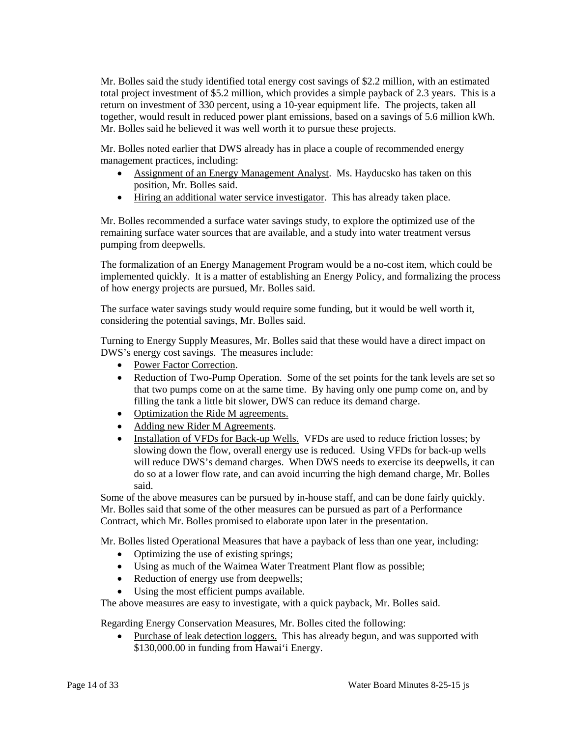total project investment of \$5.2 million, which provides a simple payback of 2.3 years. This is a return on investment of 330 percent, using a 10-year equipment life. The projects, taken all Mr. Bolles said he believed it was well worth it to pursue these projects. Mr. Bolles said the study identified total energy cost savings of \$2.2 million, with an estimated together, would result in reduced power plant emissions, based on a savings of 5.6 million kWh.

 Mr. Bolles noted earlier that DWS already has in place a couple of recommended energy management practices, including:

- Assignment of an Energy Management Analyst. Ms. Hayducsko has taken on this position, Mr. Bolles said.
- Hiring an additional water service investigator. This has already taken place.

 Mr. Bolles recommended a surface water savings study, to explore the optimized use of the remaining surface water sources that are available, and a study into water treatment versus pumping from deepwells.

 implemented quickly. It is a matter of establishing an Energy Policy, and formalizing the process of how energy projects are pursued, Mr. Bolles said. The formalization of an Energy Management Program would be a no-cost item, which could be

 considering the potential savings, Mr. Bolles said. The surface water savings study would require some funding, but it would be well worth it,

Turning to Energy Supply Measures, Mr. Bolles said that these would have a direct impact on DWS's energy cost savings. The measures include:

- Power Factor Correction.
- Reduction of Two-Pump Operation. Some of the set points for the tank levels are set so filling the tank a little bit slower, DWS can reduce its demand charge. that two pumps come on at the same time. By having only one pump come on, and by
- Optimization the Ride M agreements.
- Adding new Rider M Agreements.
- Installation of VFDs for Back-up Wells. VFDs are used to reduce friction losses; by slowing down the flow, overall energy use is reduced. Using VFDs for back-up wells will reduce DWS's demand charges. When DWS needs to exercise its deepwells, it can do so at a lower flow rate, and can avoid incurring the high demand charge, Mr. Bolles said.

Some of the above measures can be pursued by in-house staff, and can be done fairly quickly. Mr. Bolles said that some of the other measures can be pursued as part of a Performance Contract, which Mr. Bolles promised to elaborate upon later in the presentation.

Mr. Bolles listed Operational Measures that have a payback of less than one year, including:

- Optimizing the use of existing springs;
- Using as much of the Waimea Water Treatment Plant flow as possible;
- Reduction of energy use from deepwells;
- Using the most efficient pumps available.

The above measures are easy to investigate, with a quick payback, Mr. Bolles said.

Regarding Energy Conservation Measures, Mr. Bolles cited the following:

• Purchase of leak detection loggers. This has already begun, and was supported with \$130,000.00 in funding from Hawai'i Energy.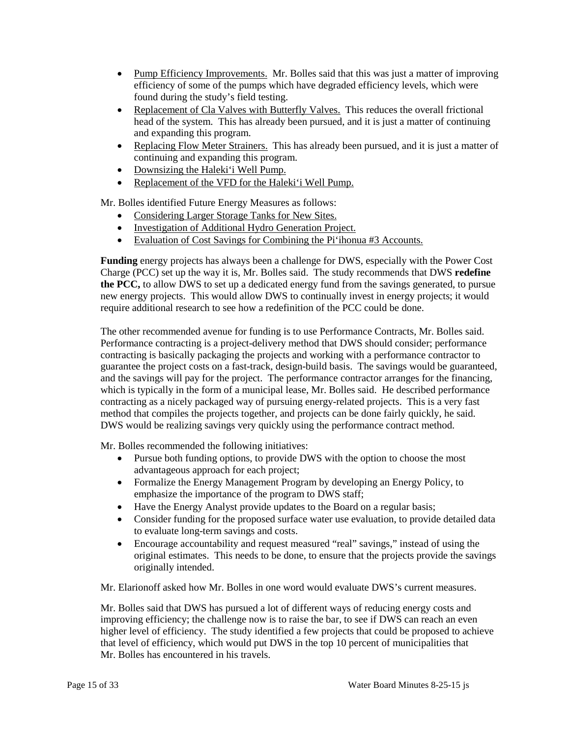- Pump Efficiency Improvements. Mr. Bolles said that this was just a matter of improving efficiency of some of the pumps which have degraded efficiency levels, which were found during the study's field testing.
- Replacement of Cla Valves with Butterfly Valves. This reduces the overall frictional head of the system. This has already been pursued, and it is just a matter of continuing and expanding this program.
- Replacing Flow Meter Strainers. This has already been pursued, and it is just a matter of continuing and expanding this program.
- Downsizing the Haleki'i Well Pump.
- Replacement of the VFD for the Haleki'i Well Pump.

Mr. Bolles identified Future Energy Measures as follows:

- Considering Larger Storage Tanks for New Sites.
- Investigation of Additional Hydro Generation Project.
- Evaluation of Cost Savings for Combining the Pi'ihonua #3 Accounts.

 Charge (PCC) set up the way it is, Mr. Bolles said. The study recommends that DWS **redefine the PCC,** to allow DWS to set up a dedicated energy fund from the savings generated, to pursue **Funding** energy projects has always been a challenge for DWS, especially with the Power Cost new energy projects. This would allow DWS to continually invest in energy projects; it would require additional research to see how a redefinition of the PCC could be done.

 The other recommended avenue for funding is to use Performance Contracts, Mr. Bolles said. contracting is basically packaging the projects and working with a performance contractor to and the savings will pay for the project. The performance contractor arranges for the financing, contracting as a nicely packaged way of pursuing energy-related projects. This is a very fast Performance contracting is a project-delivery method that DWS should consider; performance guarantee the project costs on a fast-track, design-build basis. The savings would be guaranteed, which is typically in the form of a municipal lease, Mr. Bolles said. He described performance method that compiles the projects together, and projects can be done fairly quickly, he said. DWS would be realizing savings very quickly using the performance contract method.

Mr. Bolles recommended the following initiatives:

- Pursue both funding options, to provide DWS with the option to choose the most advantageous approach for each project;
- Formalize the Energy Management Program by developing an Energy Policy, to emphasize the importance of the program to DWS staff;
- Have the Energy Analyst provide updates to the Board on a regular basis;
- • Consider funding for the proposed surface water use evaluation, to provide detailed data to evaluate long-term savings and costs.
- original estimates. This needs to be done, to ensure that the projects provide the savings • Encourage accountability and request measured "real" savings," instead of using the originally intended.

Mr. Elarionoff asked how Mr. Bolles in one word would evaluate DWS's current measures.

 improving efficiency; the challenge now is to raise the bar, to see if DWS can reach an even higher level of efficiency. The study identified a few projects that could be proposed to achieve Mr. Bolles said that DWS has pursued a lot of different ways of reducing energy costs and that level of efficiency, which would put DWS in the top 10 percent of municipalities that Mr. Bolles has encountered in his travels.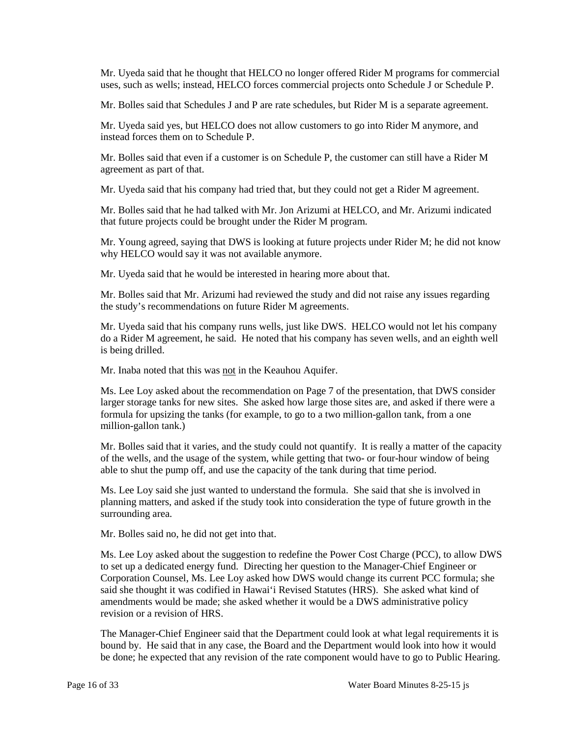Mr. Uyeda said that he thought that HELCO no longer offered Rider M programs for commercial uses, such as wells; instead, HELCO forces commercial projects onto Schedule J or Schedule P.

Mr. Bolles said that Schedules J and P are rate schedules, but Rider M is a separate agreement.

Mr. Uyeda said yes, but HELCO does not allow customers to go into Rider M anymore, and instead forces them on to Schedule P.

 Mr. Bolles said that even if a customer is on Schedule P, the customer can still have a Rider M agreement as part of that.

Mr. Uyeda said that his company had tried that, but they could not get a Rider M agreement.

Mr. Bolles said that he had talked with Mr. Jon Arizumi at HELCO, and Mr. Arizumi indicated that future projects could be brought under the Rider M program.

 Mr. Young agreed, saying that DWS is looking at future projects under Rider M; he did not know why HELCO would say it was not available anymore.

Mr. Uyeda said that he would be interested in hearing more about that.

Mr. Bolles said that Mr. Arizumi had reviewed the study and did not raise any issues regarding the study's recommendations on future Rider M agreements.

 Mr. Uyeda said that his company runs wells, just like DWS. HELCO would not let his company do a Rider M agreement, he said. He noted that his company has seven wells, and an eighth well is being drilled.

Mr. Inaba noted that this was not in the Keauhou Aquifer.

Ms. Lee Loy asked about the recommendation on Page 7 of the presentation, that DWS consider larger storage tanks for new sites. She asked how large those sites are, and asked if there were a formula for upsizing the tanks (for example, to go to a two million-gallon tank, from a one million-gallon tank.)

 of the wells, and the usage of the system, while getting that two- or four-hour window of being able to shut the pump off, and use the capacity of the tank during that time period. Mr. Bolles said that it varies, and the study could not quantify. It is really a matter of the capacity

 Ms. Lee Loy said she just wanted to understand the formula. She said that she is involved in planning matters, and asked if the study took into consideration the type of future growth in the surrounding area.

Mr. Bolles said no, he did not get into that.

 Corporation Counsel, Ms. Lee Loy asked how DWS would change its current PCC formula; she said she thought it was codified in Hawai'i Revised Statutes (HRS). She asked what kind of amendments would be made; she asked whether it would be a DWS administrative policy Ms. Lee Loy asked about the suggestion to redefine the Power Cost Charge (PCC), to allow DWS to set up a dedicated energy fund. Directing her question to the Manager-Chief Engineer or revision or a revision of HRS.

 The Manager-Chief Engineer said that the Department could look at what legal requirements it is bound by. He said that in any case, the Board and the Department would look into how it would be done; he expected that any revision of the rate component would have to go to Public Hearing.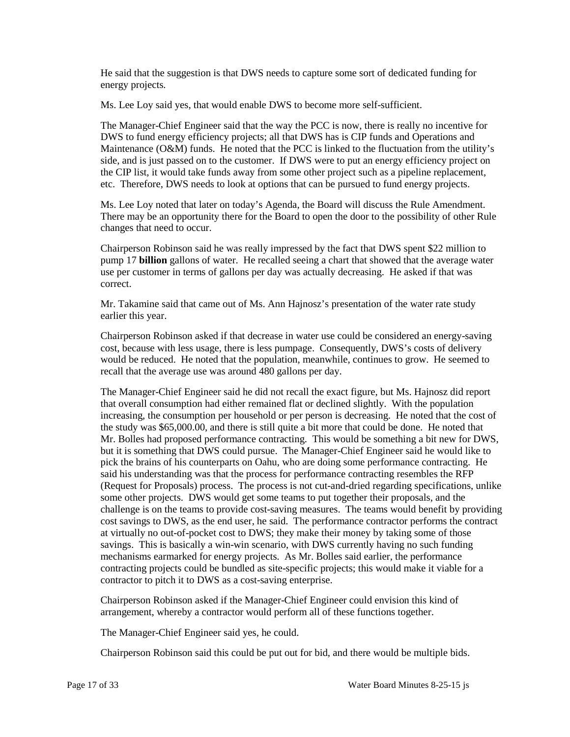He said that the suggestion is that DWS needs to capture some sort of dedicated funding for energy projects.

Ms. Lee Loy said yes, that would enable DWS to become more self-sufficient.

 Maintenance (O&M) funds. He noted that the PCC is linked to the fluctuation from the utility's The Manager-Chief Engineer said that the way the PCC is now, there is really no incentive for DWS to fund energy efficiency projects; all that DWS has is CIP funds and Operations and side, and is just passed on to the customer. If DWS were to put an energy efficiency project on the CIP list, it would take funds away from some other project such as a pipeline replacement, etc. Therefore, DWS needs to look at options that can be pursued to fund energy projects.

 There may be an opportunity there for the Board to open the door to the possibility of other Rule Ms. Lee Loy noted that later on today's Agenda, the Board will discuss the Rule Amendment. changes that need to occur.

 Chairperson Robinson said he was really impressed by the fact that DWS spent \$22 million to pump 17 **billion** gallons of water. He recalled seeing a chart that showed that the average water use per customer in terms of gallons per day was actually decreasing. He asked if that was correct.

 Mr. Takamine said that came out of Ms. Ann Hajnosz's presentation of the water rate study earlier this year.

 cost, because with less usage, there is less pumpage. Consequently, DWS's costs of delivery would be reduced. He noted that the population, meanwhile, continues to grow. He seemed to Chairperson Robinson asked if that decrease in water use could be considered an energy-saving recall that the average use was around 480 gallons per day.

 The Manager-Chief Engineer said he did not recall the exact figure, but Ms. Hajnosz did report the study was \$65,000.00, and there is still quite a bit more that could be done. He noted that but it is something that DWS could pursue. The Manager-Chief Engineer said he would like to pick the brains of his counterparts on Oahu, who are doing some performance contracting. He cost savings to DWS, as the end user, he said. The performance contractor performs the contract that overall consumption had either remained flat or declined slightly. With the population increasing, the consumption per household or per person is decreasing. He noted that the cost of Mr. Bolles had proposed performance contracting. This would be something a bit new for DWS, said his understanding was that the process for performance contracting resembles the RFP (Request for Proposals) process. The process is not cut-and-dried regarding specifications, unlike some other projects. DWS would get some teams to put together their proposals, and the challenge is on the teams to provide cost-saving measures. The teams would benefit by providing at virtually no out-of-pocket cost to DWS; they make their money by taking some of those savings. This is basically a win-win scenario, with DWS currently having no such funding mechanisms earmarked for energy projects. As Mr. Bolles said earlier, the performance contracting projects could be bundled as site-specific projects; this would make it viable for a contractor to pitch it to DWS as a cost-saving enterprise.

Chairperson Robinson asked if the Manager-Chief Engineer could envision this kind of arrangement, whereby a contractor would perform all of these functions together.

The Manager-Chief Engineer said yes, he could.

Chairperson Robinson said this could be put out for bid, and there would be multiple bids.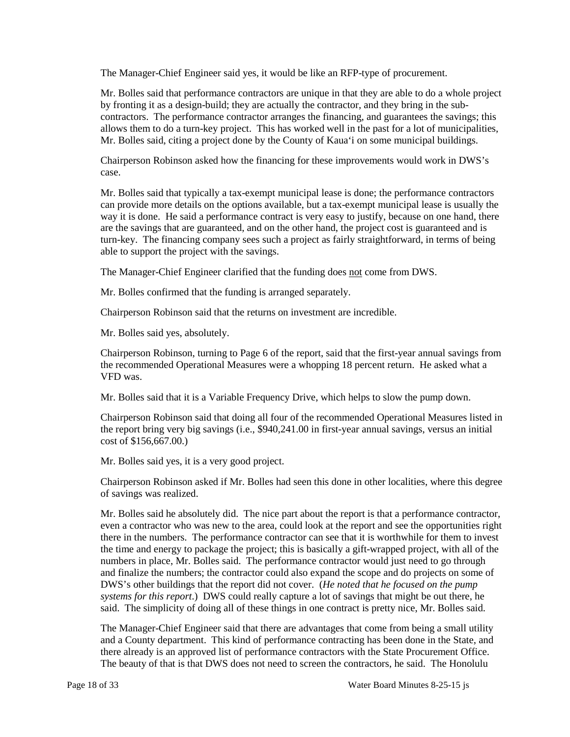The Manager-Chief Engineer said yes, it would be like an RFP-type of procurement.

 by fronting it as a design-build; they are actually the contractor, and they bring in the sub- contractors. The performance contractor arranges the financing, and guarantees the savings; this allows them to do a turn-key project. This has worked well in the past for a lot of municipalities, Mr. Bolles said, citing a project done by the County of Kaua'i on some municipal buildings. Mr. Bolles said that performance contractors are unique in that they are able to do a whole project

Chairperson Robinson asked how the financing for these improvements would work in DWS's case.

 Mr. Bolles said that typically a tax-exempt municipal lease is done; the performance contractors able to support the project with the savings. can provide more details on the options available, but a tax-exempt municipal lease is usually the way it is done. He said a performance contract is very easy to justify, because on one hand, there are the savings that are guaranteed, and on the other hand, the project cost is guaranteed and is turn-key. The financing company sees such a project as fairly straightforward, in terms of being

The Manager-Chief Engineer clarified that the funding does not come from DWS.

Mr. Bolles confirmed that the funding is arranged separately.

Chairperson Robinson said that the returns on investment are incredible.

Mr. Bolles said yes, absolutely.

Chairperson Robinson, turning to Page 6 of the report, said that the first-year annual savings from the recommended Operational Measures were a whopping 18 percent return. He asked what a VFD was.

Mr. Bolles said that it is a Variable Frequency Drive, which helps to slow the pump down.

 Chairperson Robinson said that doing all four of the recommended Operational Measures listed in the report bring very big savings (i.e., \$940,241.00 in first-year annual savings, versus an initial cost of \$156,667.00.)

Mr. Bolles said yes, it is a very good project.

Chairperson Robinson asked if Mr. Bolles had seen this done in other localities, where this degree of savings was realized.

 Mr. Bolles said he absolutely did. The nice part about the report is that a performance contractor, there in the numbers. The performance contractor can see that it is worthwhile for them to invest the time and energy to package the project; this is basically a gift-wrapped project, with all of the DWS's other buildings that the report did not cover. (*He noted that he focused on the pump*  even a contractor who was new to the area, could look at the report and see the opportunities right numbers in place, Mr. Bolles said. The performance contractor would just need to go through and finalize the numbers; the contractor could also expand the scope and do projects on some of *systems for this report*.) DWS could really capture a lot of savings that might be out there, he said. The simplicity of doing all of these things in one contract is pretty nice, Mr. Bolles said.

The Manager-Chief Engineer said that there are advantages that come from being a small utility and a County department. This kind of performance contracting has been done in the State, and there already is an approved list of performance contractors with the State Procurement Office. The beauty of that is that DWS does not need to screen the contractors, he said. The Honolulu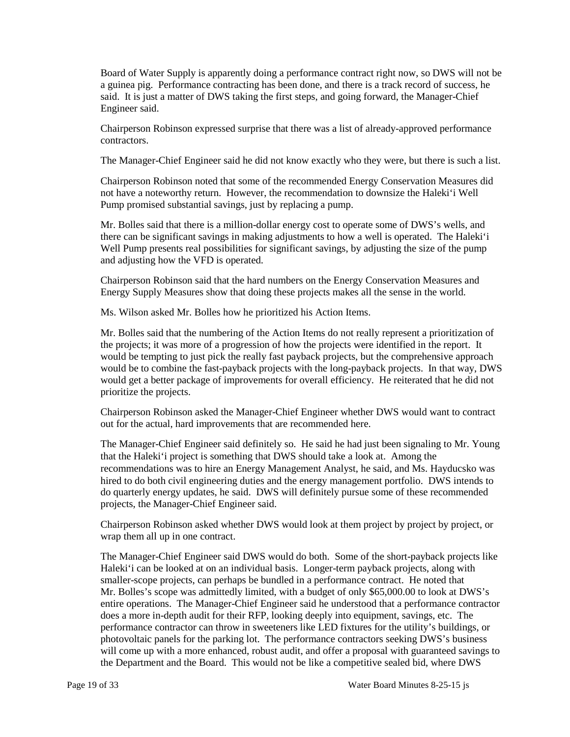said. It is just a matter of DWS taking the first steps, and going forward, the Manager-Chief Board of Water Supply is apparently doing a performance contract right now, so DWS will not be a guinea pig. Performance contracting has been done, and there is a track record of success, he Engineer said.

Chairperson Robinson expressed surprise that there was a list of already-approved performance contractors.

The Manager-Chief Engineer said he did not know exactly who they were, but there is such a list.

 Chairperson Robinson noted that some of the recommended Energy Conservation Measures did Pump promised substantial savings, just by replacing a pump. not have a noteworthy return. However, the recommendation to downsize the Haleki'i Well

 there can be significant savings in making adjustments to how a well is operated. The Haleki'i Mr. Bolles said that there is a million-dollar energy cost to operate some of DWS's wells, and Well Pump presents real possibilities for significant savings, by adjusting the size of the pump and adjusting how the VFD is operated.

Chairperson Robinson said that the hard numbers on the Energy Conservation Measures and Energy Supply Measures show that doing these projects makes all the sense in the world.

Ms. Wilson asked Mr. Bolles how he prioritized his Action Items.

Mr. Bolles said that the numbering of the Action Items do not really represent a prioritization of the projects; it was more of a progression of how the projects were identified in the report. It would be tempting to just pick the really fast payback projects, but the comprehensive approach would be to combine the fast-payback projects with the long-payback projects. In that way, DWS would get a better package of improvements for overall efficiency. He reiterated that he did not prioritize the projects.

 Chairperson Robinson asked the Manager-Chief Engineer whether DWS would want to contract out for the actual, hard improvements that are recommended here.

The Manager-Chief Engineer said definitely so. He said he had just been signaling to Mr. Young that the Haleki'i project is something that DWS should take a look at. Among the recommendations was to hire an Energy Management Analyst, he said, and Ms. Hayducsko was hired to do both civil engineering duties and the energy management portfolio. DWS intends to do quarterly energy updates, he said. DWS will definitely pursue some of these recommended projects, the Manager-Chief Engineer said.

Chairperson Robinson asked whether DWS would look at them project by project by project, or wrap them all up in one contract.

 Mr. Bolles's scope was admittedly limited, with a budget of only \$65,000.00 to look at DWS's does a more in-depth audit for their RFP, looking deeply into equipment, savings, etc. The performance contractor can throw in sweeteners like LED fixtures for the utility's buildings, or photovoltaic panels for the parking lot. The performance contractors seeking DWS's business the Department and the Board. This would not be like a competitive sealed bid, where DWS The Manager-Chief Engineer said DWS would do both. Some of the short-payback projects like Haleki'i can be looked at on an individual basis. Longer-term payback projects, along with smaller-scope projects, can perhaps be bundled in a performance contract. He noted that entire operations. The Manager-Chief Engineer said he understood that a performance contractor will come up with a more enhanced, robust audit, and offer a proposal with guaranteed savings to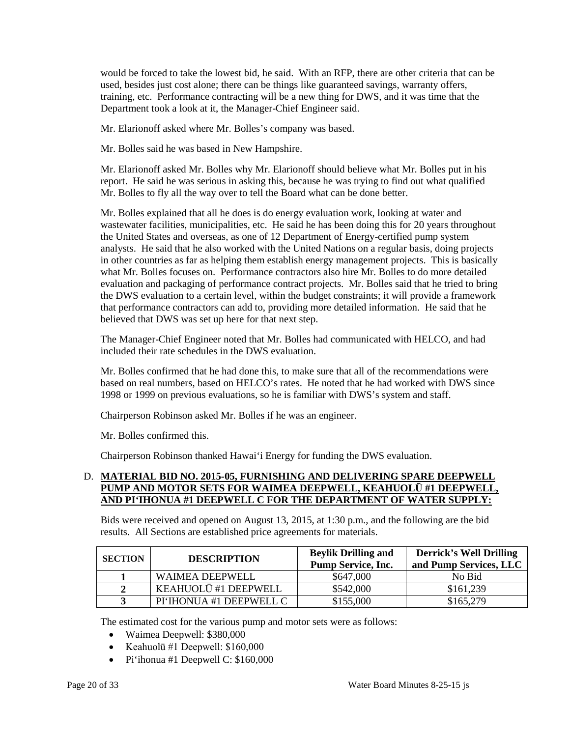would be forced to take the lowest bid, he said. With an RFP, there are other criteria that can be used, besides just cost alone; there can be things like guaranteed savings, warranty offers, training, etc. Performance contracting will be a new thing for DWS, and it was time that the Department took a look at it, the Manager-Chief Engineer said.

Mr. Elarionoff asked where Mr. Bolles's company was based.

Mr. Bolles said he was based in New Hampshire.

 report. He said he was serious in asking this, because he was trying to find out what qualified Mr. Bolles to fly all the way over to tell the Board what can be done better. Mr. Elarionoff asked Mr. Bolles why Mr. Elarionoff should believe what Mr. Bolles put in his

 Mr. Bolles explained that all he does is do energy evaluation work, looking at water and analysts. He said that he also worked with the United Nations on a regular basis, doing projects in other countries as far as helping them establish energy management projects. This is basically that performance contractors can add to, providing more detailed information. He said that he wastewater facilities, municipalities, etc. He said he has been doing this for 20 years throughout the United States and overseas, as one of 12 Department of Energy-certified pump system what Mr. Bolles focuses on. Performance contractors also hire Mr. Bolles to do more detailed evaluation and packaging of performance contract projects. Mr. Bolles said that he tried to bring the DWS evaluation to a certain level, within the budget constraints; it will provide a framework believed that DWS was set up here for that next step.

The Manager-Chief Engineer noted that Mr. Bolles had communicated with HELCO, and had included their rate schedules in the DWS evaluation.

 based on real numbers, based on HELCO's rates. He noted that he had worked with DWS since Mr. Bolles confirmed that he had done this, to make sure that all of the recommendations were 1998 or 1999 on previous evaluations, so he is familiar with DWS's system and staff.

Chairperson Robinson asked Mr. Bolles if he was an engineer.

Mr. Bolles confirmed this.

Chairperson Robinson thanked Hawai'i Energy for funding the DWS evaluation.

## D. **MATERIAL BID NO. 2015-05, FURNISHING AND DELIVERING SPARE DEEPWELL PUMP AND MOTOR SETS FOR WAIMEA DEEPWELL, KEAHUOLŪ #1 DEEPWELL, AND PI'IHONUA #1 DEEPWELL C FOR THE DEPARTMENT OF WATER SUPPLY:**

Bids were received and opened on August 13, 2015, at 1:30 p.m., and the following are the bid results. All Sections are established price agreements for materials.

| <b>SECTION</b> | <b>DESCRIPTION</b>      | <b>Beylik Drilling and</b><br><b>Pump Service, Inc.</b> | <b>Derrick's Well Drilling</b><br>and Pump Services, LLC |
|----------------|-------------------------|---------------------------------------------------------|----------------------------------------------------------|
|                | <b>WAIMEA DEEPWELL</b>  | \$647,000                                               | No Bid                                                   |
| ↑              | KEAHUOLŪ #1 DEEPWELL    | \$542,000                                               | \$161,239                                                |
|                | PI'IHONUA #1 DEEPWELL C | \$155,000                                               | \$165,279                                                |

The estimated cost for the various pump and motor sets were as follows:

- Waimea Deepwell: \$380,000
- Keahuolū #1 Deepwell:  $$160,000$
- Pi'ihonua #1 Deepwell C: \$160,000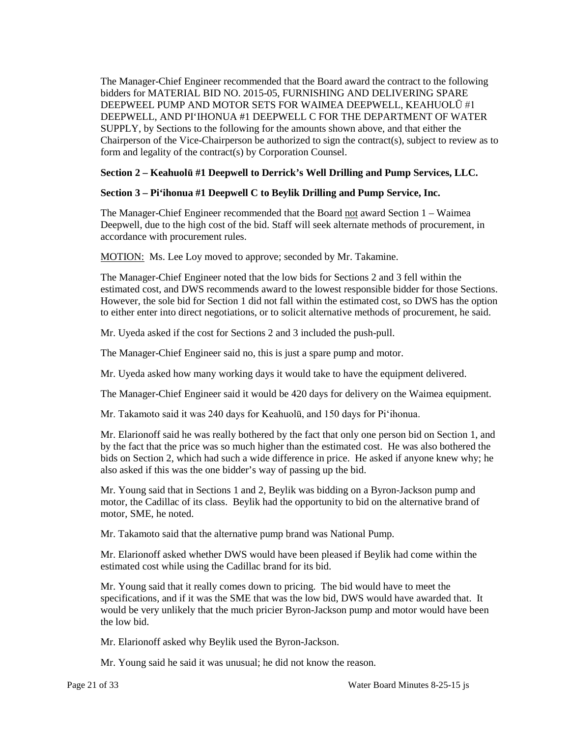The Manager-Chief Engineer recommended that the Board award the contract to the following bidders for MATERIAL BID NO. 2015-05, FURNISHING AND DELIVERING SPARE SUPPLY, by Sections to the following for the amounts shown above, and that either the DEEPWEEL PUMP AND MOTOR SETS FOR WAIMEA DEEPWELL, KEAHUOLŪ #1 DEEPWELL, AND PI'IHONUA #1 DEEPWELL C FOR THE DEPARTMENT OF WATER Chairperson of the Vice-Chairperson be authorized to sign the contract(s), subject to review as to form and legality of the contract(s) by Corporation Counsel.

## **Section 2 – Keahuolū #1 Deepwell to Derrick's Well Drilling and Pump Services, LLC.**

# **Section 3 – Pi'ihonua #1 Deepwell C to Beylik Drilling and Pump Service, Inc.**

The Manager-Chief Engineer recommended that the Board not award Section 1 – Waimea Deepwell, due to the high cost of the bid. Staff will seek alternate methods of procurement, in accordance with procurement rules.

MOTION: Ms. Lee Loy moved to approve; seconded by Mr. Takamine.

 estimated cost, and DWS recommends award to the lowest responsible bidder for those Sections. The Manager-Chief Engineer noted that the low bids for Sections 2 and 3 fell within the However, the sole bid for Section 1 did not fall within the estimated cost, so DWS has the option to either enter into direct negotiations, or to solicit alternative methods of procurement, he said.

Mr. Uyeda asked if the cost for Sections 2 and 3 included the push-pull.

The Manager-Chief Engineer said no, this is just a spare pump and motor.

Mr. Uyeda asked how many working days it would take to have the equipment delivered.

The Manager-Chief Engineer said it would be 420 days for delivery on the Waimea equipment.

Mr. Takamoto said it was 240 days for Keahuolū, and 150 days for Pi'ihonua.

 Mr. Elarionoff said he was really bothered by the fact that only one person bid on Section 1, and bids on Section 2, which had such a wide difference in price. He asked if anyone knew why; he by the fact that the price was so much higher than the estimated cost. He was also bothered the also asked if this was the one bidder's way of passing up the bid.

 motor, SME, he noted. Mr. Young said that in Sections 1 and 2, Beylik was bidding on a Byron-Jackson pump and motor, the Cadillac of its class. Beylik had the opportunity to bid on the alternative brand of

Mr. Takamoto said that the alternative pump brand was National Pump.

 estimated cost while using the Cadillac brand for its bid. Mr. Elarionoff asked whether DWS would have been pleased if Beylik had come within the

 specifications, and if it was the SME that was the low bid, DWS would have awarded that. It Mr. Young said that it really comes down to pricing. The bid would have to meet the would be very unlikely that the much pricier Byron-Jackson pump and motor would have been the low bid.

Mr. Elarionoff asked why Beylik used the Byron-Jackson.

Mr. Young said he said it was unusual; he did not know the reason.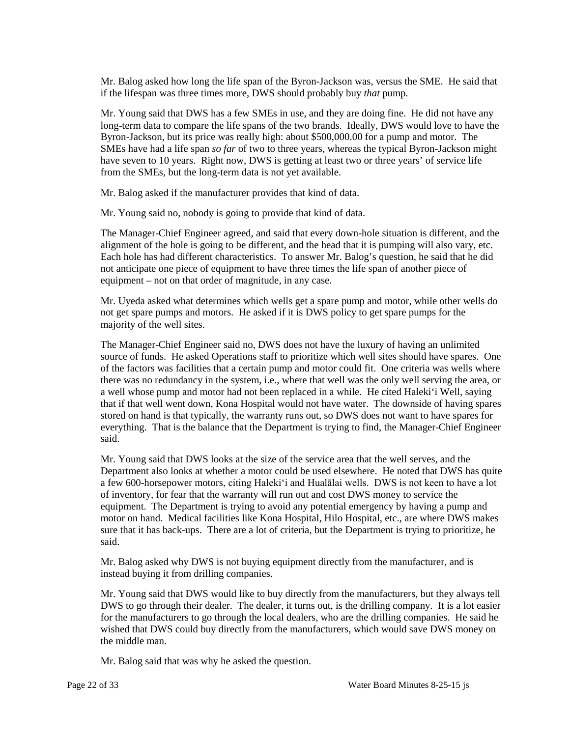Mr. Balog asked how long the life span of the Byron-Jackson was, versus the SME. He said that if the lifespan was three times more, DWS should probably buy *that* pump.

 Mr. Young said that DWS has a few SMEs in use, and they are doing fine. He did not have any have seven to 10 years. Right now, DWS is getting at least two or three years' of service life long-term data to compare the life spans of the two brands. Ideally, DWS would love to have the Byron-Jackson, but its price was really high: about \$500,000.00 for a pump and motor. The SMEs have had a life span *so far* of two to three years, whereas the typical Byron-Jackson might from the SMEs, but the long-term data is not yet available.

Mr. Balog asked if the manufacturer provides that kind of data.

Mr. Young said no, nobody is going to provide that kind of data.

 Each hole has had different characteristics. To answer Mr. Balog's question, he said that he did not anticipate one piece of equipment to have three times the life span of another piece of The Manager-Chief Engineer agreed, and said that every down-hole situation is different, and the alignment of the hole is going to be different, and the head that it is pumping will also vary, etc. equipment – not on that order of magnitude, in any case.

 not get spare pumps and motors. He asked if it is DWS policy to get spare pumps for the Mr. Uyeda asked what determines which wells get a spare pump and motor, while other wells do majority of the well sites.

 there was no redundancy in the system, i.e., where that well was the only well serving the area, or stored on hand is that typically, the warranty runs out, so DWS does not want to have spares for everything. That is the balance that the Department is trying to find, the Manager-Chief Engineer The Manager-Chief Engineer said no, DWS does not have the luxury of having an unlimited source of funds. He asked Operations staff to prioritize which well sites should have spares. One of the factors was facilities that a certain pump and motor could fit. One criteria was wells where a well whose pump and motor had not been replaced in a while. He cited Haleki'i Well, saying that if that well went down, Kona Hospital would not have water. The downside of having spares said.

 Mr. Young said that DWS looks at the size of the service area that the well serves, and the a few 600-horsepower motors, citing Haleki'i and Hualālai wells. DWS is not keen to have a lot of inventory, for fear that the warranty will run out and cost DWS money to service the Department also looks at whether a motor could be used elsewhere. He noted that DWS has quite equipment. The Department is trying to avoid any potential emergency by having a pump and motor on hand. Medical facilities like Kona Hospital, Hilo Hospital, etc., are where DWS makes sure that it has back-ups. There are a lot of criteria, but the Department is trying to prioritize, he said.

Mr. Balog asked why DWS is not buying equipment directly from the manufacturer, and is instead buying it from drilling companies.

 DWS to go through their dealer. The dealer, it turns out, is the drilling company. It is a lot easier Mr. Young said that DWS would like to buy directly from the manufacturers, but they always tell for the manufacturers to go through the local dealers, who are the drilling companies. He said he wished that DWS could buy directly from the manufacturers, which would save DWS money on the middle man.

Mr. Balog said that was why he asked the question.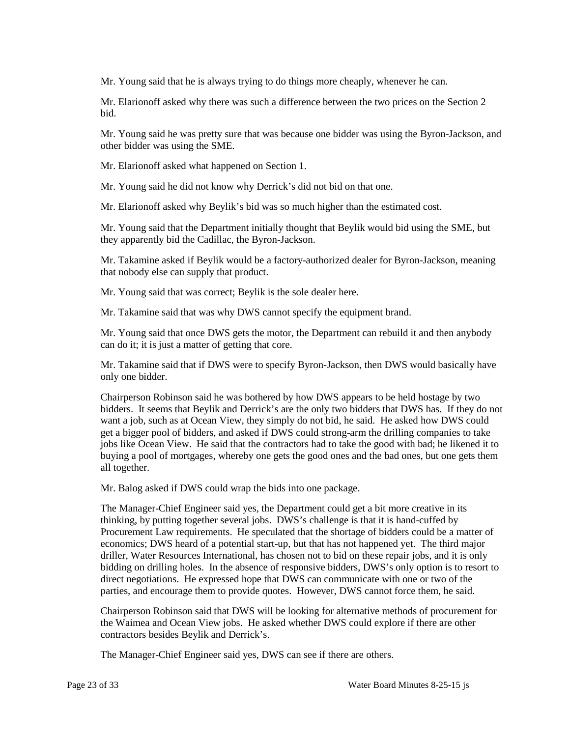Mr. Young said that he is always trying to do things more cheaply, whenever he can.

Mr. Elarionoff asked why there was such a difference between the two prices on the Section 2 bid.

 other bidder was using the SME. Mr. Young said he was pretty sure that was because one bidder was using the Byron-Jackson, and

Mr. Elarionoff asked what happened on Section 1.

Mr. Young said he did not know why Derrick's did not bid on that one.

Mr. Elarionoff asked why Beylik's bid was so much higher than the estimated cost.

Mr. Young said that the Department initially thought that Beylik would bid using the SME, but they apparently bid the Cadillac, the Byron-Jackson.

Mr. Takamine asked if Beylik would be a factory-authorized dealer for Byron-Jackson, meaning that nobody else can supply that product.

Mr. Young said that was correct; Beylik is the sole dealer here.

Mr. Takamine said that was why DWS cannot specify the equipment brand.

 can do it; it is just a matter of getting that core. Mr. Young said that once DWS gets the motor, the Department can rebuild it and then anybody

Mr. Takamine said that if DWS were to specify Byron-Jackson, then DWS would basically have only one bidder.

 jobs like Ocean View. He said that the contractors had to take the good with bad; he likened it to Chairperson Robinson said he was bothered by how DWS appears to be held hostage by two bidders. It seems that Beylik and Derrick's are the only two bidders that DWS has. If they do not want a job, such as at Ocean View, they simply do not bid, he said. He asked how DWS could get a bigger pool of bidders, and asked if DWS could strong-arm the drilling companies to take buying a pool of mortgages, whereby one gets the good ones and the bad ones, but one gets them all together.

Mr. Balog asked if DWS could wrap the bids into one package.

 The Manager-Chief Engineer said yes, the Department could get a bit more creative in its thinking, by putting together several jobs. DWS's challenge is that it is hand-cuffed by driller, Water Resources International, has chosen not to bid on these repair jobs, and it is only bidding on drilling holes. In the absence of responsive bidders, DWS's only option is to resort to parties, and encourage them to provide quotes. However, DWS cannot force them, he said. Procurement Law requirements. He speculated that the shortage of bidders could be a matter of economics; DWS heard of a potential start-up, but that has not happened yet. The third major direct negotiations. He expressed hope that DWS can communicate with one or two of the

 Chairperson Robinson said that DWS will be looking for alternative methods of procurement for the Waimea and Ocean View jobs. He asked whether DWS could explore if there are other contractors besides Beylik and Derrick's.

The Manager-Chief Engineer said yes, DWS can see if there are others.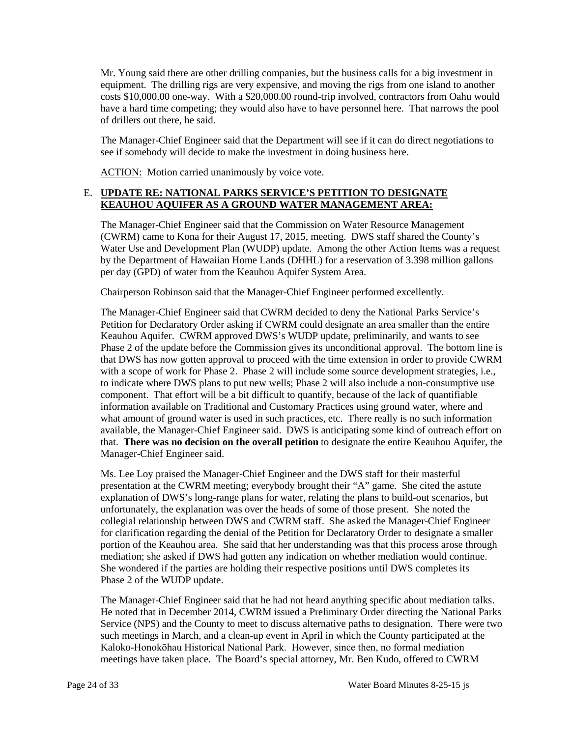costs \$10,000.00 one-way. With a \$20,000.00 round-trip involved, contractors from Oahu would have a hard time competing; they would also have to have personnel here. That narrows the pool Mr. Young said there are other drilling companies, but the business calls for a big investment in equipment. The drilling rigs are very expensive, and moving the rigs from one island to another of drillers out there, he said.

The Manager-Chief Engineer said that the Department will see if it can do direct negotiations to see if somebody will decide to make the investment in doing business here.

ACTION: Motion carried unanimously by voice vote.

# E. **UPDATE RE: NATIONAL PARKS SERVICE'S PETITION TO DESIGNATE KEAUHOU AQUIFER AS A GROUND WATER MANAGEMENT AREA:**

 (CWRM) came to Kona for their August 17, 2015, meeting. DWS staff shared the County's by the Department of Hawaiian Home Lands (DHHL) for a reservation of 3.398 million gallons The Manager-Chief Engineer said that the Commission on Water Resource Management Water Use and Development Plan (WUDP) update. Among the other Action Items was a request per day (GPD) of water from the Keauhou Aquifer System Area.

Chairperson Robinson said that the Manager-Chief Engineer performed excellently.

 Petition for Declaratory Order asking if CWRM could designate an area smaller than the entire Keauhou Aquifer. CWRM approved DWS's WUDP update, preliminarily, and wants to see Phase 2 of the update before the Commission gives its unconditional approval. The bottom line is component. That effort will be a bit difficult to quantify, because of the lack of quantifiable  that. **There was no decision on the overall petition** to designate the entire Keauhou Aquifer, the Manager-Chief Engineer said. The Manager-Chief Engineer said that CWRM decided to deny the National Parks Service's that DWS has now gotten approval to proceed with the time extension in order to provide CWRM with a scope of work for Phase 2. Phase 2 will include some source development strategies, i.e., to indicate where DWS plans to put new wells; Phase 2 will also include a non-consumptive use information available on Traditional and Customary Practices using ground water, where and what amount of ground water is used in such practices, etc. There really is no such information available, the Manager-Chief Engineer said. DWS is anticipating some kind of outreach effort on

 Ms. Lee Loy praised the Manager-Chief Engineer and the DWS staff for their masterful presentation at the CWRM meeting; everybody brought their "A" game. She cited the astute unfortunately, the explanation was over the heads of some of those present. She noted the collegial relationship between DWS and CWRM staff. She asked the Manager-Chief Engineer for clarification regarding the denial of the Petition for Declaratory Order to designate a smaller portion of the Keauhou area. She said that her understanding was that this process arose through She wondered if the parties are holding their respective positions until DWS completes its explanation of DWS's long-range plans for water, relating the plans to build-out scenarios, but mediation; she asked if DWS had gotten any indication on whether mediation would continue. Phase 2 of the WUDP update.

 He noted that in December 2014, CWRM issued a Preliminary Order directing the National Parks such meetings in March, and a clean-up event in April in which the County participated at the The Manager-Chief Engineer said that he had not heard anything specific about mediation talks. Service (NPS) and the County to meet to discuss alternative paths to designation. There were two Kaloko-Honokōhau Historical National Park. However, since then, no formal mediation meetings have taken place. The Board's special attorney, Mr. Ben Kudo, offered to CWRM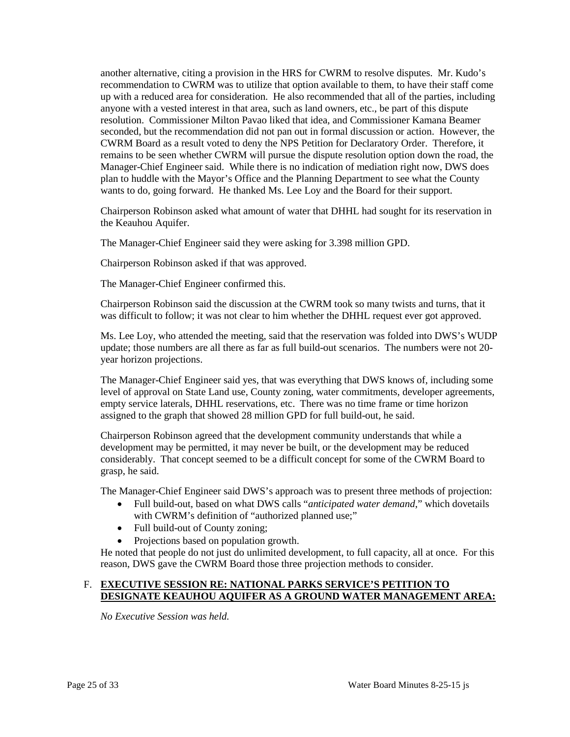another alternative, citing a provision in the HRS for CWRM to resolve disputes. Mr. Kudo's anyone with a vested interest in that area, such as land owners, etc., be part of this dispute seconded, but the recommendation did not pan out in formal discussion or action. However, the CWRM Board as a result voted to deny the NPS Petition for Declaratory Order. Therefore, it plan to huddle with the Mayor's Office and the Planning Department to see what the County recommendation to CWRM was to utilize that option available to them, to have their staff come up with a reduced area for consideration. He also recommended that all of the parties, including resolution. Commissioner Milton Pavao liked that idea, and Commissioner Kamana Beamer remains to be seen whether CWRM will pursue the dispute resolution option down the road, the Manager-Chief Engineer said. While there is no indication of mediation right now, DWS does wants to do, going forward. He thanked Ms. Lee Loy and the Board for their support.

 Chairperson Robinson asked what amount of water that DHHL had sought for its reservation in the Keauhou Aquifer.

The Manager-Chief Engineer said they were asking for 3.398 million GPD.

Chairperson Robinson asked if that was approved.

The Manager-Chief Engineer confirmed this.

 Chairperson Robinson said the discussion at the CWRM took so many twists and turns, that it was difficult to follow; it was not clear to him whether the DHHL request ever got approved.

 Ms. Lee Loy, who attended the meeting, said that the reservation was folded into DWS's WUDP update; those numbers are all there as far as full build-out scenarios. The numbers were not 20 year horizon projections.

 empty service laterals, DHHL reservations, etc. There was no time frame or time horizon The Manager-Chief Engineer said yes, that was everything that DWS knows of, including some level of approval on State Land use, County zoning, water commitments, developer agreements, assigned to the graph that showed 28 million GPD for full build-out, he said.

 Chairperson Robinson agreed that the development community understands that while a considerably. That concept seemed to be a difficult concept for some of the CWRM Board to development may be permitted, it may never be built, or the development may be reduced grasp, he said.

The Manager-Chief Engineer said DWS's approach was to present three methods of projection:

- • Full build-out, based on what DWS calls "*anticipated water demand*," which dovetails with CWRM's definition of "authorized planned use;"
- Full build-out of County zoning;
- Projections based on population growth.

 He noted that people do not just do unlimited development, to full capacity, all at once. For this reason, DWS gave the CWRM Board those three projection methods to consider.

## F. **EXECUTIVE SESSION RE: NATIONAL PARKS SERVICE'S PETITION TO DESIGNATE KEAUHOU AQUIFER AS A GROUND WATER MANAGEMENT AREA:**

*No Executive Session was held.*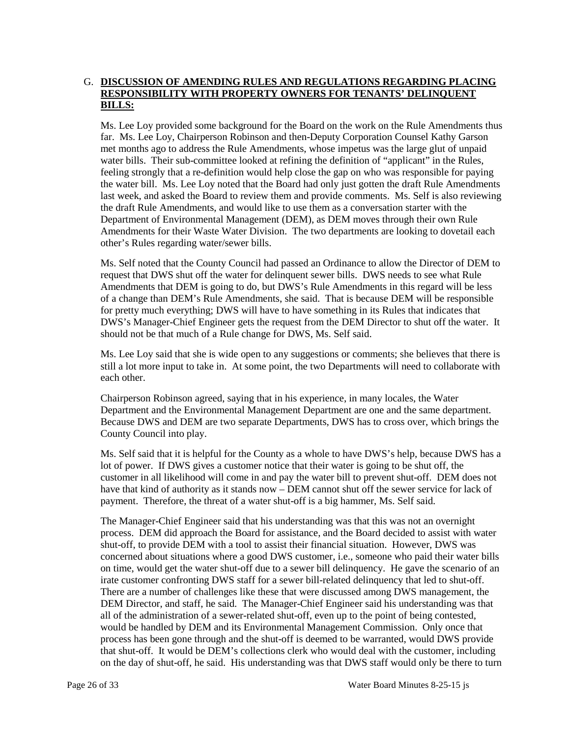# G. DISCUSSION OF AMENDING RULES AND REGULATIONS REGARDING PLACING **RESPONSIBILITY WITH PROPERTY OWNERS FOR TENANTS' DELINQUENT BILLS:**

 Ms. Lee Loy provided some background for the Board on the work on the Rule Amendments thus met months ago to address the Rule Amendments, whose impetus was the large glut of unpaid feeling strongly that a re-definition would help close the gap on who was responsible for paying last week, and asked the Board to review them and provide comments. Ms. Self is also reviewing Department of Environmental Management (DEM), as DEM moves through their own Rule far. Ms. Lee Loy, Chairperson Robinson and then-Deputy Corporation Counsel Kathy Garson water bills. Their sub-committee looked at refining the definition of "applicant" in the Rules, the water bill. Ms. Lee Loy noted that the Board had only just gotten the draft Rule Amendments the draft Rule Amendments, and would like to use them as a conversation starter with the Amendments for their Waste Water Division. The two departments are looking to dovetail each other's Rules regarding water/sewer bills.

 Ms. Self noted that the County Council had passed an Ordinance to allow the Director of DEM to request that DWS shut off the water for delinquent sewer bills. DWS needs to see what Rule Amendments that DEM is going to do, but DWS's Rule Amendments in this regard will be less of a change than DEM's Rule Amendments, she said. That is because DEM will be responsible DWS's Manager-Chief Engineer gets the request from the DEM Director to shut off the water. It should not be that much of a Rule change for DWS, Ms. Self said. for pretty much everything; DWS will have to have something in its Rules that indicates that

 Ms. Lee Loy said that she is wide open to any suggestions or comments; she believes that there is still a lot more input to take in. At some point, the two Departments will need to collaborate with each other.

 Chairperson Robinson agreed, saying that in his experience, in many locales, the Water Department and the Environmental Management Department are one and the same department. Because DWS and DEM are two separate Departments, DWS has to cross over, which brings the County Council into play.

 Ms. Self said that it is helpful for the County as a whole to have DWS's help, because DWS has a customer in all likelihood will come in and pay the water bill to prevent shut-off. DEM does not have that kind of authority as it stands now – DEM cannot shut off the sewer service for lack of payment. Therefore, the threat of a water shut-off is a big hammer, Ms. Self said. lot of power. If DWS gives a customer notice that their water is going to be shut off, the

 shut-off, to provide DEM with a tool to assist their financial situation. However, DWS was on time, would get the water shut-off due to a sewer bill delinquency. He gave the scenario of an DEM Director, and staff, he said. The Manager-Chief Engineer said his understanding was that all of the administration of a sewer-related shut-off, even up to the point of being contested, The Manager-Chief Engineer said that his understanding was that this was not an overnight process. DEM did approach the Board for assistance, and the Board decided to assist with water concerned about situations where a good DWS customer, i.e., someone who paid their water bills irate customer confronting DWS staff for a sewer bill-related delinquency that led to shut-off. There are a number of challenges like these that were discussed among DWS management, the would be handled by DEM and its Environmental Management Commission. Only once that process has been gone through and the shut-off is deemed to be warranted, would DWS provide that shut-off. It would be DEM's collections clerk who would deal with the customer, including on the day of shut-off, he said. His understanding was that DWS staff would only be there to turn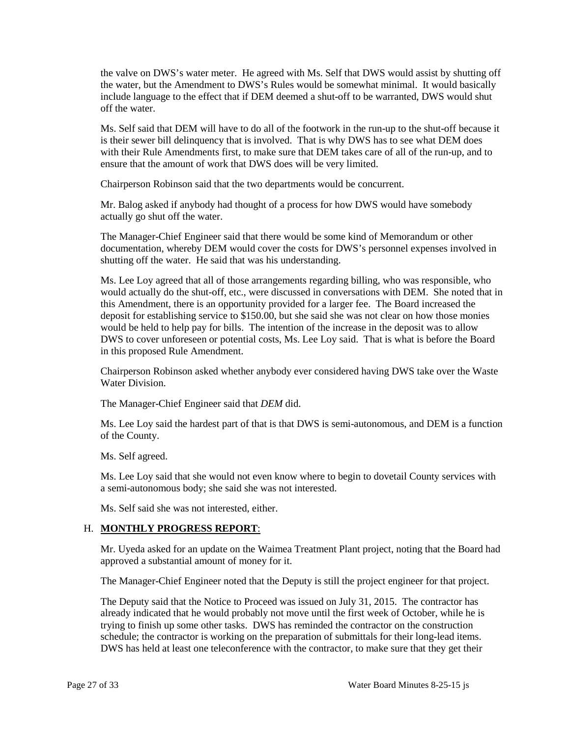the valve on DWS's water meter. He agreed with Ms. Self that DWS would assist by shutting off the water, but the Amendment to DWS's Rules would be somewhat minimal. It would basically include language to the effect that if DEM deemed a shut-off to be warranted, DWS would shut off the water.

 Ms. Self said that DEM will have to do all of the footwork in the run-up to the shut-off because it is their sewer bill delinquency that is involved. That is why DWS has to see what DEM does ensure that the amount of work that DWS does will be very limited. with their Rule Amendments first, to make sure that DEM takes care of all of the run-up, and to

Chairperson Robinson said that the two departments would be concurrent.

Mr. Balog asked if anybody had thought of a process for how DWS would have somebody actually go shut off the water.

The Manager-Chief Engineer said that there would be some kind of Memorandum or other documentation, whereby DEM would cover the costs for DWS's personnel expenses involved in shutting off the water. He said that was his understanding.

 would actually do the shut-off, etc., were discussed in conversations with DEM. She noted that in this Amendment, there is an opportunity provided for a larger fee. The Board increased the deposit for establishing service to \$150.00, but she said she was not clear on how those monies would be held to help pay for bills. The intention of the increase in the deposit was to allow Ms. Lee Loy agreed that all of those arrangements regarding billing, who was responsible, who DWS to cover unforeseen or potential costs, Ms. Lee Loy said. That is what is before the Board in this proposed Rule Amendment.

Chairperson Robinson asked whether anybody ever considered having DWS take over the Waste Water Division.

The Manager-Chief Engineer said that *DEM* did.

 Ms. Lee Loy said the hardest part of that is that DWS is semi-autonomous, and DEM is a function of the County.

Ms. Self agreed.

Ms. Lee Loy said that she would not even know where to begin to dovetail County services with a semi-autonomous body; she said she was not interested.

Ms. Self said she was not interested, either.

## H. **MONTHLY PROGRESS REPORT**:

 Mr. Uyeda asked for an update on the Waimea Treatment Plant project, noting that the Board had approved a substantial amount of money for it.

The Manager-Chief Engineer noted that the Deputy is still the project engineer for that project.

 The Deputy said that the Notice to Proceed was issued on July 31, 2015. The contractor has already indicated that he would probably not move until the first week of October, while he is schedule; the contractor is working on the preparation of submittals for their long-lead items. DWS has held at least one teleconference with the contractor, to make sure that they get their trying to finish up some other tasks. DWS has reminded the contractor on the construction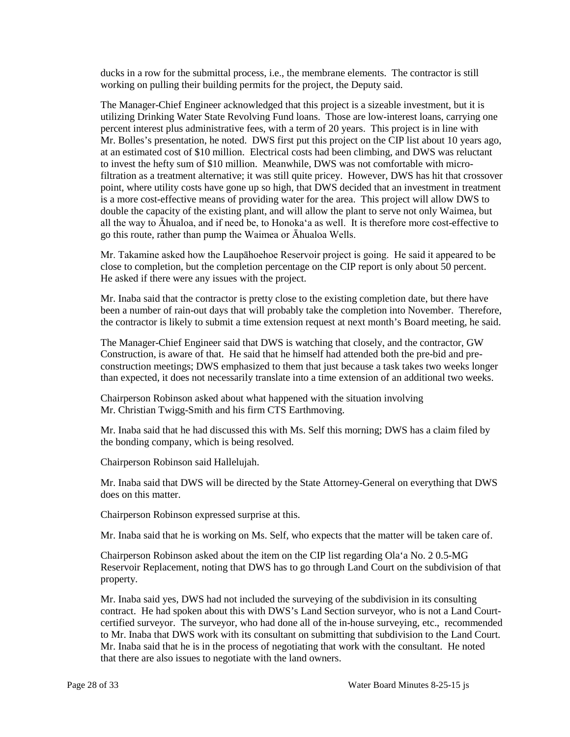ducks in a row for the submittal process, i.e., the membrane elements. The contractor is still working on pulling their building permits for the project, the Deputy said.

 The Manager-Chief Engineer acknowledged that this project is a sizeable investment, but it is utilizing Drinking Water State Revolving Fund loans. Those are low-interest loans, carrying one percent interest plus administrative fees, with a term of 20 years. This project is in line with filtration as a treatment alternative; it was still quite pricey. However, DWS has hit that crossover is a more cost-effective means of providing water for the area. This project will allow DWS to all the way to Āhualoa, and if need be, to Honoka'a as well. It is therefore more cost-effective to Mr. Bolles's presentation, he noted. DWS first put this project on the CIP list about 10 years ago, at an estimated cost of \$10 million. Electrical costs had been climbing, and DWS was reluctant to invest the hefty sum of \$10 million. Meanwhile, DWS was not comfortable with micropoint, where utility costs have gone up so high, that DWS decided that an investment in treatment double the capacity of the existing plant, and will allow the plant to serve not only Waimea, but go this route, rather than pump the Waimea or Āhualoa Wells.

Mr. Takamine asked how the Laupāhoehoe Reservoir project is going. He said it appeared to be close to completion, but the completion percentage on the CIP report is only about 50 percent. He asked if there were any issues with the project.

Mr. Inaba said that the contractor is pretty close to the existing completion date, but there have been a number of rain-out days that will probably take the completion into November. Therefore, the contractor is likely to submit a time extension request at next month's Board meeting, he said.

 construction meetings; DWS emphasized to them that just because a task takes two weeks longer than expected, it does not necessarily translate into a time extension of an additional two weeks. The Manager-Chief Engineer said that DWS is watching that closely, and the contractor, GW Construction, is aware of that. He said that he himself had attended both the pre-bid and pre-

 Mr. Christian Twigg-Smith and his firm CTS Earthmoving. Chairperson Robinson asked about what happened with the situation involving

 Mr. Inaba said that he had discussed this with Ms. Self this morning; DWS has a claim filed by the bonding company, which is being resolved.

Chairperson Robinson said Hallelujah.

Mr. Inaba said that DWS will be directed by the State Attorney-General on everything that DWS does on this matter.

Chairperson Robinson expressed surprise at this.

Mr. Inaba said that he is working on Ms. Self, who expects that the matter will be taken care of.

Chairperson Robinson asked about the item on the CIP list regarding Ola'a No. 2 0.5-MG Reservoir Replacement, noting that DWS has to go through Land Court on the subdivision of that property.

 Mr. Inaba said yes, DWS had not included the surveying of the subdivision in its consulting certified surveyor. The surveyor, who had done all of the in-house surveying, etc., recommended Mr. Inaba said that he is in the process of negotiating that work with the consultant. He noted contract. He had spoken about this with DWS's Land Section surveyor, who is not a Land Courtto Mr. Inaba that DWS work with its consultant on submitting that subdivision to the Land Court. that there are also issues to negotiate with the land owners.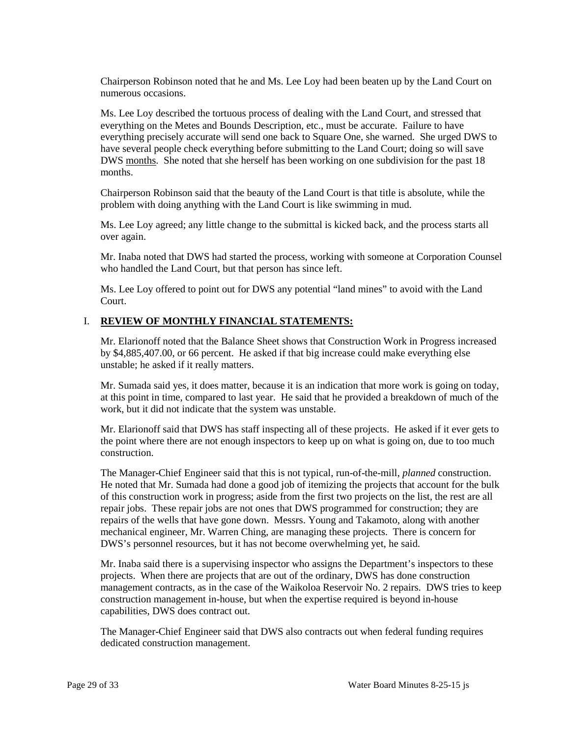Chairperson Robinson noted that he and Ms. Lee Loy had been beaten up by the Land Court on numerous occasions.

 Ms. Lee Loy described the tortuous process of dealing with the Land Court, and stressed that everything precisely accurate will send one back to Square One, she warned. She urged DWS to everything on the Metes and Bounds Description, etc., must be accurate. Failure to have have several people check everything before submitting to the Land Court; doing so will save DWS months. She noted that she herself has been working on one subdivision for the past 18 months.

 Chairperson Robinson said that the beauty of the Land Court is that title is absolute, while the problem with doing anything with the Land Court is like swimming in mud.

Ms. Lee Loy agreed; any little change to the submittal is kicked back, and the process starts all over again.

Mr. Inaba noted that DWS had started the process, working with someone at Corporation Counsel who handled the Land Court, but that person has since left.

Ms. Lee Loy offered to point out for DWS any potential "land mines" to avoid with the Land Court.

## I. **REVIEW OF MONTHLY FINANCIAL STATEMENTS:**

 by \$4,885,407.00, or 66 percent. He asked if that big increase could make everything else Mr. Elarionoff noted that the Balance Sheet shows that Construction Work in Progress increased unstable; he asked if it really matters.

 Mr. Sumada said yes, it does matter, because it is an indication that more work is going on today, at this point in time, compared to last year. He said that he provided a breakdown of much of the work, but it did not indicate that the system was unstable.

 Mr. Elarionoff said that DWS has staff inspecting all of these projects. He asked if it ever gets to the point where there are not enough inspectors to keep up on what is going on, due to too much construction.

 The Manager-Chief Engineer said that this is not typical, run-of-the-mill, *planned* construction. He noted that Mr. Sumada had done a good job of itemizing the projects that account for the bulk of this construction work in progress; aside from the first two projects on the list, the rest are all repair jobs. These repair jobs are not ones that DWS programmed for construction; they are repairs of the wells that have gone down. Messrs. Young and Takamoto, along with another mechanical engineer, Mr. Warren Ching, are managing these projects. There is concern for DWS's personnel resources, but it has not become overwhelming yet, he said.

Mr. Inaba said there is a supervising inspector who assigns the Department's inspectors to these projects. When there are projects that are out of the ordinary, DWS has done construction management contracts, as in the case of the Waikoloa Reservoir No. 2 repairs. DWS tries to keep construction management in-house, but when the expertise required is beyond in-house capabilities, DWS does contract out.

The Manager-Chief Engineer said that DWS also contracts out when federal funding requires dedicated construction management.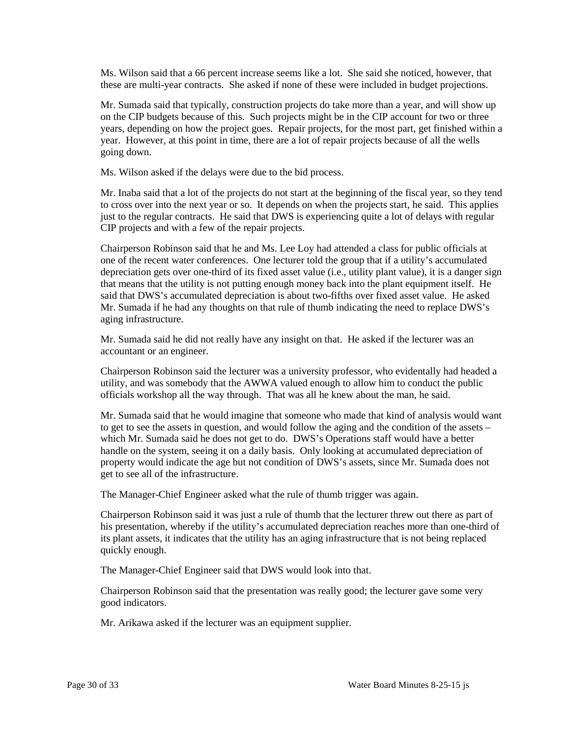Ms. Wilson said that a 66 percent increase seems like a lot. She said she noticed, however, that these are multi-year contracts. She asked if none of these were included in budget projections.

 on the CIP budgets because of this. Such projects might be in the CIP account for two or three year. However, at this point in time, there are a lot of repair projects because of all the wells Mr. Sumada said that typically, construction projects do take more than a year, and will show up years, depending on how the project goes. Repair projects, for the most part, get finished within a going down.

Ms. Wilson asked if the delays were due to the bid process.

 Mr. Inaba said that a lot of the projects do not start at the beginning of the fiscal year, so they tend just to the regular contracts. He said that DWS is experiencing quite a lot of delays with regular to cross over into the next year or so. It depends on when the projects start, he said. This applies CIP projects and with a few of the repair projects.

 one of the recent water conferences. One lecturer told the group that if a utility's accumulated depreciation gets over one-third of its fixed asset value (i.e., utility plant value), it is a danger sign Mr. Sumada if he had any thoughts on that rule of thumb indicating the need to replace DWS's Chairperson Robinson said that he and Ms. Lee Loy had attended a class for public officials at that means that the utility is not putting enough money back into the plant equipment itself. He said that DWS's accumulated depreciation is about two-fifths over fixed asset value. He asked aging infrastructure.

Mr. Sumada said he did not really have any insight on that. He asked if the lecturer was an accountant or an engineer.

Chairperson Robinson said the lecturer was a university professor, who evidentally had headed a utility, and was somebody that the AWWA valued enough to allow him to conduct the public officials workshop all the way through. That was all he knew about the man, he said.

 Mr. Sumada said that he would imagine that someone who made that kind of analysis would want which Mr. Sumada said he does not get to do. DWS's Operations staff would have a better handle on the system, seeing it on a daily basis. Only looking at accumulated depreciation of property would indicate the age but not condition of DWS's assets, since Mr. Sumada does not get to see all of the infrastructure. to get to see the assets in question, and would follow the aging and the condition of the assets –

The Manager-Chief Engineer asked what the rule of thumb trigger was again.

 Chairperson Robinson said it was just a rule of thumb that the lecturer threw out there as part of his presentation, whereby if the utility's accumulated depreciation reaches more than one-third of its plant assets, it indicates that the utility has an aging infrastructure that is not being replaced quickly enough.

The Manager-Chief Engineer said that DWS would look into that.

Chairperson Robinson said that the presentation was really good; the lecturer gave some very good indicators.

Mr. Arikawa asked if the lecturer was an equipment supplier.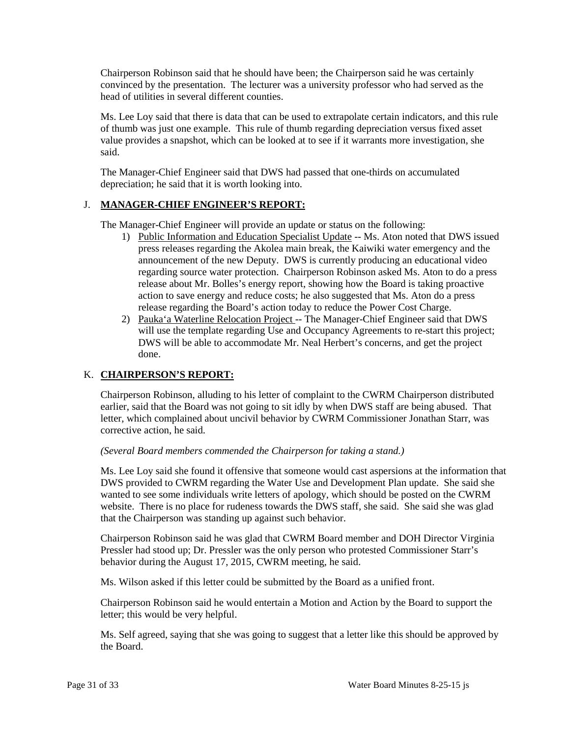convinced by the presentation. The lecturer was a university professor who had served as the Chairperson Robinson said that he should have been; the Chairperson said he was certainly head of utilities in several different counties.

 Ms. Lee Loy said that there is data that can be used to extrapolate certain indicators, and this rule of thumb was just one example. This rule of thumb regarding depreciation versus fixed asset value provides a snapshot, which can be looked at to see if it warrants more investigation, she said.

The Manager-Chief Engineer said that DWS had passed that one-thirds on accumulated depreciation; he said that it is worth looking into.

# J. **MANAGER-CHIEF ENGINEER'S REPORT:**

The Manager-Chief Engineer will provide an update or status on the following:

- 1) Public Information and Education Specialist Update -- Ms. Aton noted that DWS issued announcement of the new Deputy. DWS is currently producing an educational video action to save energy and reduce costs; he also suggested that Ms. Aton do a press press releases regarding the Akolea main break, the Kaiwiki water emergency and the regarding source water protection. Chairperson Robinson asked Ms. Aton to do a press release about Mr. Bolles's energy report, showing how the Board is taking proactive release regarding the Board's action today to reduce the Power Cost Charge.
- DWS will be able to accommodate Mr. Neal Herbert's concerns, and get the project 2) Pauka'a Waterline Relocation Project -- The Manager-Chief Engineer said that DWS will use the template regarding Use and Occupancy Agreements to re-start this project; done.

## K. **CHAIRPERSON'S REPORT:**

 Chairperson Robinson, alluding to his letter of complaint to the CWRM Chairperson distributed earlier, said that the Board was not going to sit idly by when DWS staff are being abused. That letter, which complained about uncivil behavior by CWRM Commissioner Jonathan Starr, was corrective action, he said.

## *(Several Board members commended the Chairperson for taking a stand.)*

 Ms. Lee Loy said she found it offensive that someone would cast aspersions at the information that wanted to see some individuals write letters of apology, which should be posted on the CWRM website. There is no place for rudeness towards the DWS staff, she said. She said she was glad that the Chairperson was standing up against such behavior. DWS provided to CWRM regarding the Water Use and Development Plan update. She said she

 Pressler had stood up; Dr. Pressler was the only person who protested Commissioner Starr's Chairperson Robinson said he was glad that CWRM Board member and DOH Director Virginia behavior during the August 17, 2015, CWRM meeting, he said.

Ms. Wilson asked if this letter could be submitted by the Board as a unified front.

 Chairperson Robinson said he would entertain a Motion and Action by the Board to support the letter; this would be very helpful.

 Ms. Self agreed, saying that she was going to suggest that a letter like this should be approved by the Board.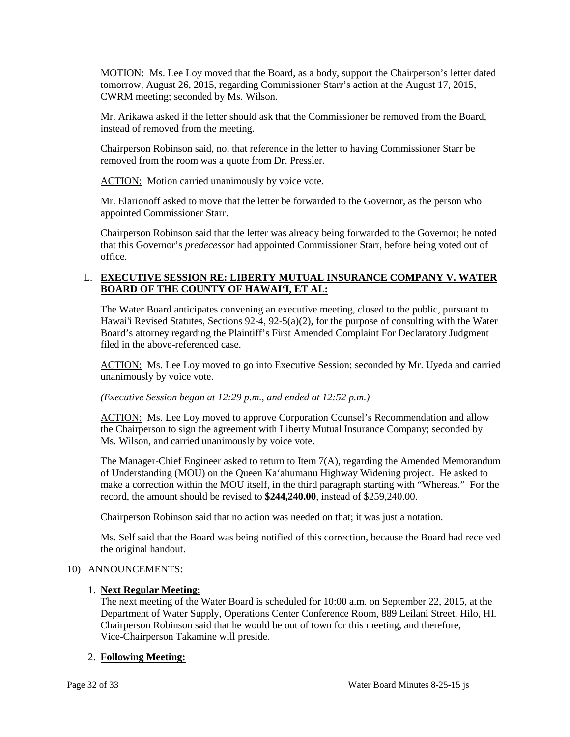MOTION: Ms. Lee Loy moved that the Board, as a body, support the Chairperson's letter dated tomorrow, August 26, 2015, regarding Commissioner Starr's action at the August 17, 2015, CWRM meeting; seconded by Ms. Wilson.

Mr. Arikawa asked if the letter should ask that the Commissioner be removed from the Board, instead of removed from the meeting.

 Chairperson Robinson said, no, that reference in the letter to having Commissioner Starr be removed from the room was a quote from Dr. Pressler.

ACTION: Motion carried unanimously by voice vote.

 Mr. Elarionoff asked to move that the letter be forwarded to the Governor, as the person who appointed Commissioner Starr.

 that this Governor's *predecessor* had appointed Commissioner Starr, before being voted out of Chairperson Robinson said that the letter was already being forwarded to the Governor; he noted office.

# L. **EXECUTIVE SESSION RE: LIBERTY MUTUAL INSURANCE COMPANY V. WATER BOARD OF THE COUNTY OF HAWAI'I, ET AL:**

 Hawai'i Revised Statutes, Sections 92-4, 92-5(a)(2), for the purpose of consulting with the Water The Water Board anticipates convening an executive meeting, closed to the public, pursuant to Board's attorney regarding the Plaintiff's First Amended Complaint For Declaratory Judgment filed in the above-referenced case.

ACTION: Ms. Lee Loy moved to go into Executive Session; seconded by Mr. Uyeda and carried unanimously by voice vote.

## *(Executive Session began at 12:29 p.m., and ended at 12:52 p.m.)*

ACTION: Ms. Lee Loy moved to approve Corporation Counsel's Recommendation and allow the Chairperson to sign the agreement with Liberty Mutual Insurance Company; seconded by Ms. Wilson, and carried unanimously by voice vote.

 make a correction within the MOU itself, in the third paragraph starting with "Whereas." For the record, the amount should be revised to **\$244,240.00**, instead of \$259,240.00. The Manager-Chief Engineer asked to return to Item 7(A), regarding the Amended Memorandum of Understanding (MOU) on the Queen Ka'ahumanu Highway Widening project. He asked to

Chairperson Robinson said that no action was needed on that; it was just a notation.

 Ms. Self said that the Board was being notified of this correction, because the Board had received the original handout.

## 10) ANNOUNCEMENTS:

## 1. **Next Regular Meeting:**

 The next meeting of the Water Board is scheduled for 10:00 a.m. on September 22, 2015, at the Chairperson Robinson said that he would be out of town for this meeting, and therefore, Department of Water Supply, Operations Center Conference Room, 889 Leilani Street, Hilo, HI. Vice-Chairperson Takamine will preside.

# 2. **Following Meeting:**